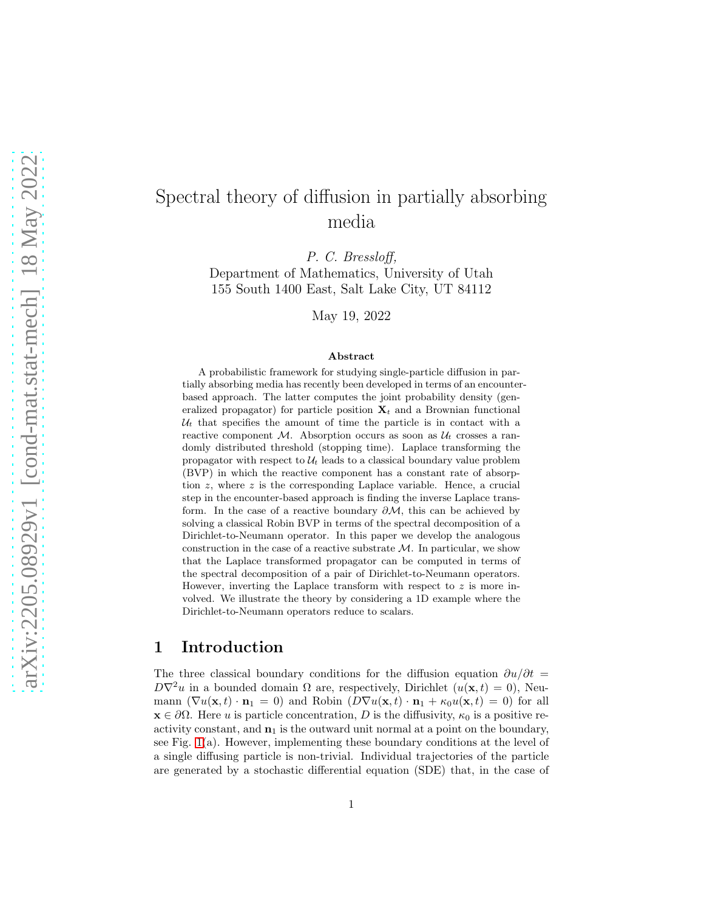# Spectral theory of diffusion in partially absorbing media

P. C. Bressloff,

Department of Mathematics, University of Utah 155 South 1400 East, Salt Lake City, UT 84112

May 19, 2022

#### Abstract

A probabilistic framework for studying single-particle diffusion in partially absorbing media has recently been developed in terms of an encounterbased approach. The latter computes the joint probability density (generalized propagator) for particle position  $\mathbf{X}_t$  and a Brownian functional  $U_t$  that specifies the amount of time the particle is in contact with a reactive component  $M$ . Absorption occurs as soon as  $\mathcal{U}_t$  crosses a randomly distributed threshold (stopping time). Laplace transforming the propagator with respect to  $\mathcal{U}_t$  leads to a classical boundary value problem (BVP) in which the reactive component has a constant rate of absorption  $z$ , where  $z$  is the corresponding Laplace variable. Hence, a crucial step in the encounter-based approach is finding the inverse Laplace transform. In the case of a reactive boundary  $\partial M$ , this can be achieved by solving a classical Robin BVP in terms of the spectral decomposition of a Dirichlet-to-Neumann operator. In this paper we develop the analogous construction in the case of a reactive substrate  $M$ . In particular, we show that the Laplace transformed propagator can be computed in terms of the spectral decomposition of a pair of Dirichlet-to-Neumann operators. However, inverting the Laplace transform with respect to  $z$  is more involved. We illustrate the theory by considering a 1D example where the Dirichlet-to-Neumann operators reduce to scalars.

### 1 Introduction

The three classical boundary conditions for the diffusion equation  $\partial u/\partial t =$  $D\nabla^2 u$  in a bounded domain  $\Omega$  are, respectively, Dirichlet  $(u(\mathbf{x}, t) = 0)$ , Neumann  $(\nabla u(\mathbf{x}, t) \cdot \mathbf{n}_1 = 0)$  and Robin  $(D\nabla u(\mathbf{x}, t) \cdot \mathbf{n}_1 + \kappa_0 u(\mathbf{x}, t) = 0)$  for all  $\mathbf{x} \in \partial\Omega$ . Here u is particle concentration, D is the diffusivity,  $\kappa_0$  is a positive reactivity constant, and  $n_1$  is the outward unit normal at a point on the boundary, see Fig.  $1(a)$ . However, implementing these boundary conditions at the level of a single diffusing particle is non-trivial. Individual trajectories of the particle are generated by a stochastic differential equation (SDE) that, in the case of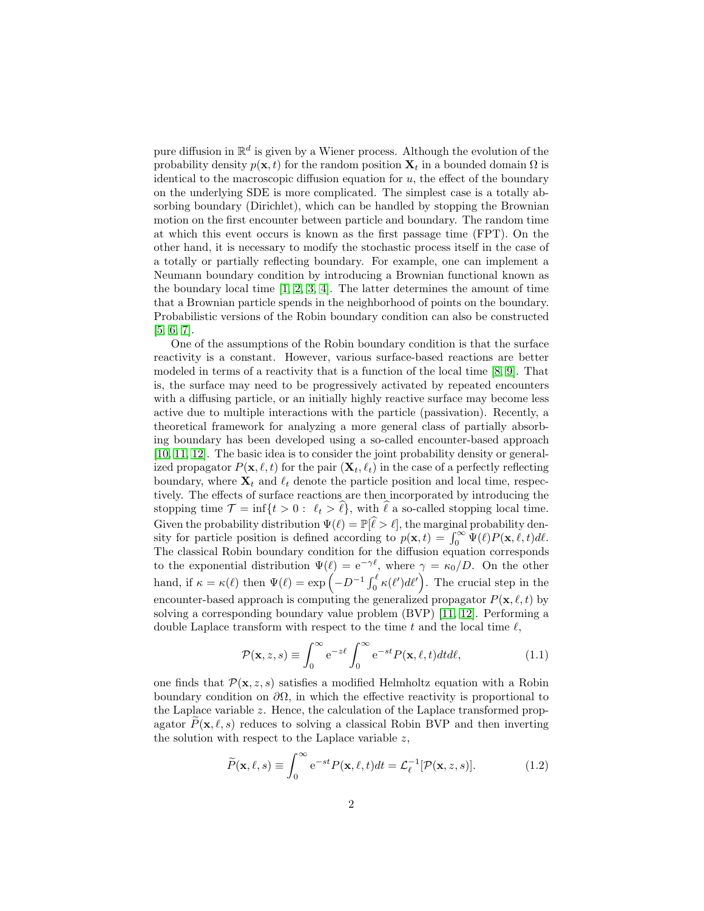pure diffusion in  $\mathbb{R}^d$  is given by a Wiener process. Although the evolution of the probability density  $p(\mathbf{x}, t)$  for the random position  $\mathbf{X}_t$  in a bounded domain  $\Omega$  is identical to the macroscopic diffusion equation for  $u$ , the effect of the boundary on the underlying SDE is more complicated. The simplest case is a totally absorbing boundary (Dirichlet), which can be handled by stopping the Brownian motion on the first encounter between particle and boundary. The random time at which this event occurs is known as the first passage time (FPT). On the other hand, it is necessary to modify the stochastic process itself in the case of a totally or partially reflecting boundary. For example, one can implement a Neumann boundary condition by introducing a Brownian functional known as the boundary local time  $[1, 2, 3, 4]$  $[1, 2, 3, 4]$  $[1, 2, 3, 4]$  $[1, 2, 3, 4]$ . The latter determines the amount of time that a Brownian particle spends in the neighborhood of points on the boundary. Probabilistic versions of the Robin boundary condition can also be constructed [\[5,](#page-24-0) [6,](#page-24-1) [7\]](#page-24-2).

One of the assumptions of the Robin boundary condition is that the surface reactivity is a constant. However, various surface-based reactions are better modeled in terms of a reactivity that is a function of the local time [\[8,](#page-24-3) [9\]](#page-24-4). That is, the surface may need to be progressively activated by repeated encounters with a diffusing particle, or an initially highly reactive surface may become less active due to multiple interactions with the particle (passivation). Recently, a theoretical framework for analyzing a more general class of partially absorbing boundary has been developed using a so-called encounter-based approach [\[10,](#page-24-5) [11,](#page-24-6) [12\]](#page-24-7). The basic idea is to consider the joint probability density or generalized propagator  $P(\mathbf{x}, \ell, t)$  for the pair  $(\mathbf{X}_t, \ell_t)$  in the case of a perfectly reflecting boundary, where  $\mathbf{X}_t$  and  $\ell_t$  denote the particle position and local time, respectively. The effects of surface reactions are then incorporated by introducing the stopping time  $\mathcal{T} = \inf\{t > 0: \ell_t > \hat{\ell}\}\$ , with  $\hat{\ell}$  a so-called stopping local time. Given the probability distribution  $\Psi(\ell) = \mathbb{P}[\hat{\ell} > \ell]$ , the marginal probability density for particle position is defined according to  $p(\mathbf{x}, t) = \int_0^\infty \Psi(\ell) P(\mathbf{x}, \ell, t) d\ell$ . The classical Robin boundary condition for the diffusion equation corresponds to the exponential distribution  $\Psi(\ell) = e^{-\gamma \ell}$ , where  $\gamma = \kappa_0/D$ . On the other hand, if  $\kappa = \kappa(\ell)$  then  $\Psi(\ell) = \exp\left(-D^{-1}\int_0^{\ell} \kappa(\ell')d\ell'\right)$ . The crucial step in the encounter-based approach is computing the generalized propagator  $P(\mathbf{x}, \ell, t)$  by solving a corresponding boundary value problem (BVP) [\[11,](#page-24-6) [12\]](#page-24-7). Performing a double Laplace transform with respect to the time t and the local time  $\ell$ ,

<span id="page-1-0"></span>
$$
\mathcal{P}(\mathbf{x}, z, s) \equiv \int_0^\infty e^{-z\ell} \int_0^\infty e^{-st} P(\mathbf{x}, \ell, t) dt d\ell,
$$
\n(1.1)

one finds that  $\mathcal{P}(\mathbf{x}, z, s)$  satisfies a modified Helmholtz equation with a Robin boundary condition on  $\partial\Omega$ , in which the effective reactivity is proportional to the Laplace variable  $z$ . Hence, the calculation of the Laplace transformed propagator  $P(\mathbf{x}, \ell, s)$  reduces to solving a classical Robin BVP and then inverting the solution with respect to the Laplace variable  $z$ ,

$$
\widetilde{P}(\mathbf{x}, \ell, s) \equiv \int_0^\infty e^{-st} P(\mathbf{x}, \ell, t) dt = \mathcal{L}_\ell^{-1} [\mathcal{P}(\mathbf{x}, z, s)]. \tag{1.2}
$$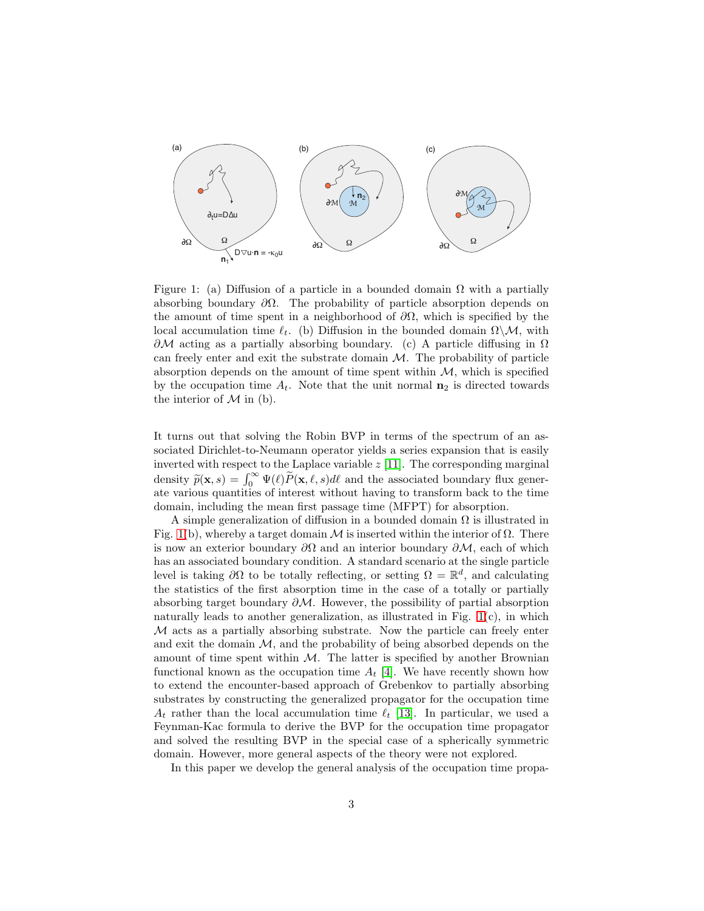

<span id="page-2-0"></span>Figure 1: (a) Diffusion of a particle in a bounded domain  $\Omega$  with a partially absorbing boundary  $\partial\Omega$ . The probability of particle absorption depends on the amount of time spent in a neighborhood of  $\partial\Omega$ , which is specified by the local accumulation time  $\ell_t$ . (b) Diffusion in the bounded domain  $\Omega \backslash \mathcal{M}$ , with  $\partial M$  acting as a partially absorbing boundary. (c) A particle diffusing in  $\Omega$ can freely enter and exit the substrate domain  $\mathcal M$ . The probability of particle absorption depends on the amount of time spent within  $M$ , which is specified by the occupation time  $A_t$ . Note that the unit normal  $n_2$  is directed towards the interior of  $M$  in (b).

It turns out that solving the Robin BVP in terms of the spectrum of an associated Dirichlet-to-Neumann operator yields a series expansion that is easily inverted with respect to the Laplace variable  $z$  [\[11\]](#page-24-6). The corresponding marginal density  $\widetilde{p}(\mathbf{x}, s) = \int_0^\infty \Psi(\ell) \widetilde{P}(\mathbf{x}, \ell, s) d\ell$  and the associated boundary flux generate various quantities of interest without having to transform back to the time domain, including the mean first passage time (MFPT) for absorption.

A simple generalization of diffusion in a bounded domain  $\Omega$  is illustrated in Fig. [1\(](#page-2-0)b), whereby a target domain M is inserted within the interior of  $\Omega$ . There is now an exterior boundary  $\partial\Omega$  and an interior boundary  $\partial\mathcal{M}$ , each of which has an associated boundary condition. A standard scenario at the single particle level is taking  $\partial\Omega$  to be totally reflecting, or setting  $\Omega = \mathbb{R}^d$ , and calculating the statistics of the first absorption time in the case of a totally or partially absorbing target boundary  $\partial M$ . However, the possibility of partial absorption naturally leads to another generalization, as illustrated in Fig. [1\(](#page-2-0)c), in which M acts as a partially absorbing substrate. Now the particle can freely enter and exit the domain  $M$ , and the probability of being absorbed depends on the amount of time spent within  $M$ . The latter is specified by another Brownian functional known as the occupation time  $A_t$  [\[4\]](#page-23-3). We have recently shown how to extend the encounter-based approach of Grebenkov to partially absorbing substrates by constructing the generalized propagator for the occupation time  $A_t$  rather than the local accumulation time  $\ell_t$  [\[13\]](#page-24-8). In particular, we used a Feynman-Kac formula to derive the BVP for the occupation time propagator and solved the resulting BVP in the special case of a spherically symmetric domain. However, more general aspects of the theory were not explored.

In this paper we develop the general analysis of the occupation time propa-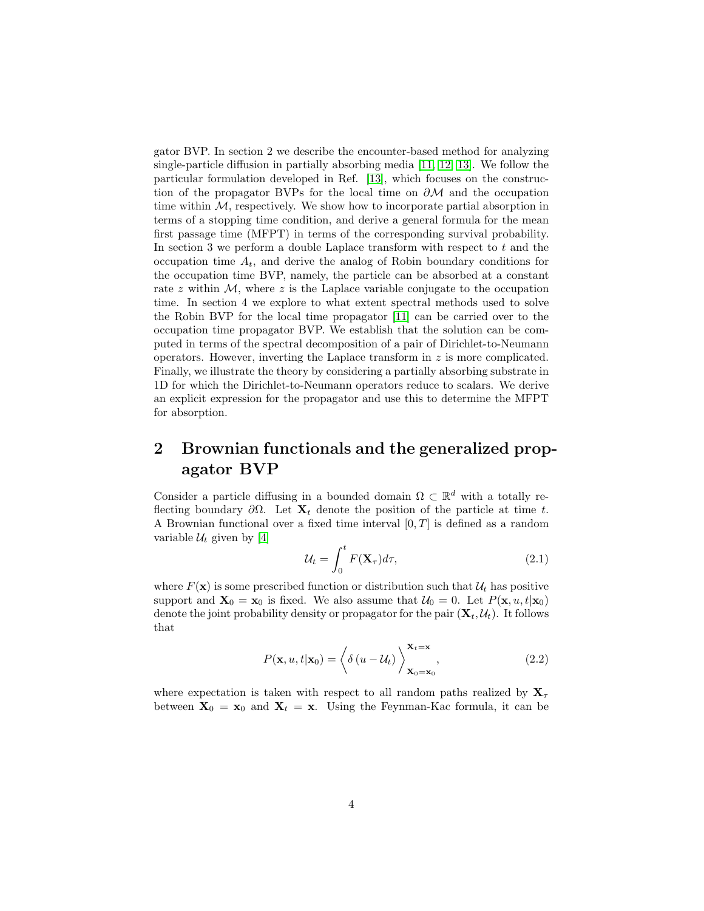gator BVP. In section 2 we describe the encounter-based method for analyzing single-particle diffusion in partially absorbing media [\[11,](#page-24-6) [12,](#page-24-7) [13\]](#page-24-8). We follow the particular formulation developed in Ref. [\[13\]](#page-24-8), which focuses on the construction of the propagator BVPs for the local time on  $\partial M$  and the occupation time within  $M$ , respectively. We show how to incorporate partial absorption in terms of a stopping time condition, and derive a general formula for the mean first passage time (MFPT) in terms of the corresponding survival probability. In section 3 we perform a double Laplace transform with respect to  $t$  and the occupation time  $A_t$ , and derive the analog of Robin boundary conditions for the occupation time BVP, namely, the particle can be absorbed at a constant rate z within  $M$ , where z is the Laplace variable conjugate to the occupation time. In section 4 we explore to what extent spectral methods used to solve the Robin BVP for the local time propagator [\[11\]](#page-24-6) can be carried over to the occupation time propagator BVP. We establish that the solution can be computed in terms of the spectral decomposition of a pair of Dirichlet-to-Neumann operators. However, inverting the Laplace transform in  $z$  is more complicated. Finally, we illustrate the theory by considering a partially absorbing substrate in 1D for which the Dirichlet-to-Neumann operators reduce to scalars. We derive an explicit expression for the propagator and use this to determine the MFPT for absorption.

## 2 Brownian functionals and the generalized propagator BVP

Consider a particle diffusing in a bounded domain  $\Omega \subset \mathbb{R}^d$  with a totally reflecting boundary  $\partial\Omega$ . Let  $\mathbf{X}_t$  denote the position of the particle at time t. A Brownian functional over a fixed time interval  $[0, T]$  is defined as a random variable  $\mathcal{U}_t$  given by [\[4\]](#page-23-3)

$$
\mathcal{U}_t = \int_0^t F(\mathbf{X}_\tau) d\tau,
$$
\n(2.1)

where  $F(\mathbf{x})$  is some prescribed function or distribution such that  $\mathcal{U}_t$  has positive support and  $\mathbf{X}_0 = \mathbf{x}_0$  is fixed. We also assume that  $\mathcal{U}_0 = 0$ . Let  $P(\mathbf{x}, u, t | \mathbf{x}_0)$ denote the joint probability density or propagator for the pair  $(\mathbf{X}_t, \mathcal{U}_t)$ . It follows that

$$
P(\mathbf{x}, u, t | \mathbf{x}_0) = \left\langle \delta \left( u - \mathcal{U}_t \right) \right\rangle_{\mathbf{X}_0 = \mathbf{x}_0}^{\mathbf{X}_t = \mathbf{x}}, \tag{2.2}
$$

where expectation is taken with respect to all random paths realized by  $X_{\tau}$ between  $X_0 = x_0$  and  $X_t = x$ . Using the Feynman-Kac formula, it can be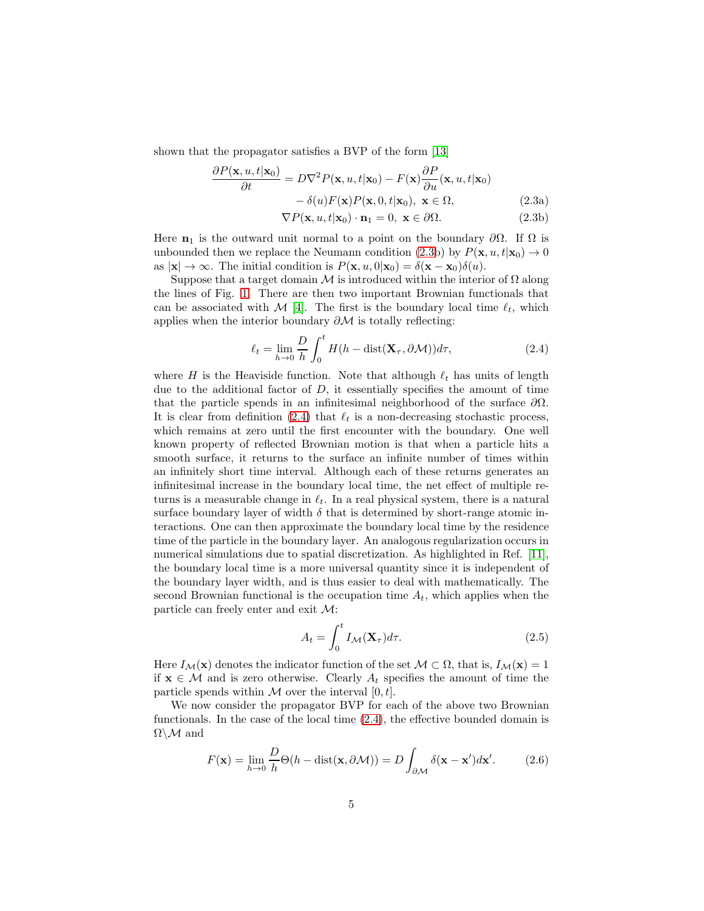shown that the propagator satisfies a BVP of the form [\[13\]](#page-24-8)

$$
\frac{\partial P(\mathbf{x}, u, t | \mathbf{x}_0)}{\partial t} = D \nabla^2 P(\mathbf{x}, u, t | \mathbf{x}_0) - F(\mathbf{x}) \frac{\partial P}{\partial u}(\mathbf{x}, u, t | \mathbf{x}_0) \n- \delta(u) F(\mathbf{x}) P(\mathbf{x}, 0, t | \mathbf{x}_0), \ \mathbf{x} \in \Omega,
$$
\n(2.3a)

<span id="page-4-0"></span>
$$
\nabla P(\mathbf{x}, u, t | \mathbf{x}_0) \cdot \mathbf{n}_1 = 0, \ \mathbf{x} \in \partial \Omega.
$$
 (2.3b)

Here  $n_1$  is the outward unit normal to a point on the boundary  $\partial\Omega$ . If  $\Omega$  is unbounded then we replace the Neumann condition [\(2.3b](#page-4-0)) by  $P(\mathbf{x}, u, t | \mathbf{x}_0) \to 0$ as  $|\mathbf{x}| \to \infty$ . The initial condition is  $P(\mathbf{x}, u, 0|\mathbf{x}_0) = \delta(\mathbf{x} - \mathbf{x}_0)\delta(u)$ .

Suppose that a target domain M is introduced within the interior of  $\Omega$  along the lines of Fig. [1.](#page-2-0) There are then two important Brownian functionals that can be associated with  $\mathcal{M}$  [\[4\]](#page-23-3). The first is the boundary local time  $\ell_t$ , which applies when the interior boundary  $\partial M$  is totally reflecting:

<span id="page-4-1"></span>
$$
\ell_t = \lim_{h \to 0} \frac{D}{h} \int_0^t H(h - \text{dist}(\mathbf{X}_\tau, \partial \mathcal{M})) d\tau,
$$
\n(2.4)

where H is the Heaviside function. Note that although  $\ell_t$  has units of length due to the additional factor of  $D$ , it essentially specifies the amount of time that the particle spends in an infinitesimal neighborhood of the surface  $\partial\Omega$ . It is clear from definition [\(2.4\)](#page-4-1) that  $\ell_t$  is a non-decreasing stochastic process, which remains at zero until the first encounter with the boundary. One well known property of reflected Brownian motion is that when a particle hits a smooth surface, it returns to the surface an infinite number of times within an infinitely short time interval. Although each of these returns generates an infinitesimal increase in the boundary local time, the net effect of multiple returns is a measurable change in  $\ell_t$ . In a real physical system, there is a natural surface boundary layer of width  $\delta$  that is determined by short-range atomic interactions. One can then approximate the boundary local time by the residence time of the particle in the boundary layer. An analogous regularization occurs in numerical simulations due to spatial discretization. As highlighted in Ref. [\[11\]](#page-24-6), the boundary local time is a more universal quantity since it is independent of the boundary layer width, and is thus easier to deal with mathematically. The second Brownian functional is the occupation time  $A_t$ , which applies when the particle can freely enter and exit  $\mathcal{M}$ :

<span id="page-4-2"></span>
$$
A_t = \int_0^t I_{\mathcal{M}}(\mathbf{X}_{\tau}) d\tau.
$$
 (2.5)

Here  $I_{\mathcal{M}}(\mathbf{x})$  denotes the indicator function of the set  $\mathcal{M} \subset \Omega$ , that is,  $I_{\mathcal{M}}(\mathbf{x}) = 1$ if  $\mathbf{x} \in \mathcal{M}$  and is zero otherwise. Clearly  $A_t$  specifies the amount of time the particle spends within  $M$  over the interval  $[0, t]$ .

We now consider the propagator BVP for each of the above two Brownian functionals. In the case of the local time [\(2.4\)](#page-4-1), the effective bounded domain is  $\Omega\backslash\mathcal{M}$  and

$$
F(\mathbf{x}) = \lim_{h \to 0} \frac{D}{h} \Theta(h - \text{dist}(\mathbf{x}, \partial \mathcal{M})) = D \int_{\partial \mathcal{M}} \delta(\mathbf{x} - \mathbf{x}') d\mathbf{x}'. \tag{2.6}
$$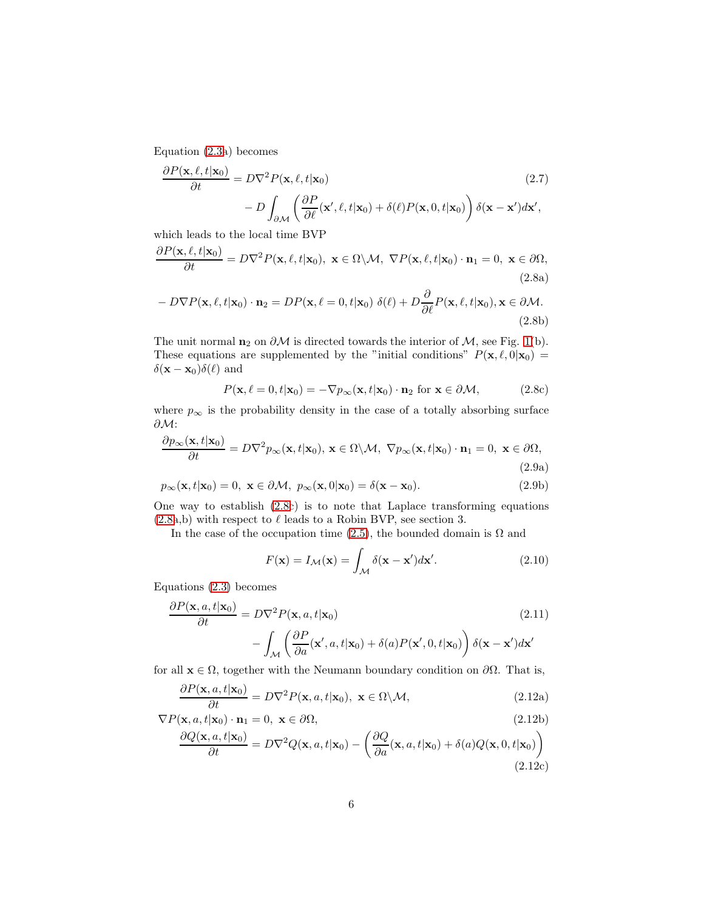Equation [\(2.3a](#page-4-0)) becomes

$$
\frac{\partial P(\mathbf{x}, \ell, t | \mathbf{x}_0)}{\partial t} = D \nabla^2 P(\mathbf{x}, \ell, t | \mathbf{x}_0)
$$
\n
$$
- D \int_{\partial \mathcal{M}} \left( \frac{\partial P}{\partial \ell}(\mathbf{x}', \ell, t | \mathbf{x}_0) + \delta(\ell) P(\mathbf{x}, 0, t | \mathbf{x}_0) \right) \delta(\mathbf{x} - \mathbf{x}') d\mathbf{x}',
$$
\n(2.7)

which leads to the local time BVP

<span id="page-5-0"></span>
$$
\frac{\partial P(\mathbf{x}, \ell, t | \mathbf{x}_0)}{\partial t} = D \nabla^2 P(\mathbf{x}, \ell, t | \mathbf{x}_0), \ \mathbf{x} \in \Omega \setminus \mathcal{M}, \ \nabla P(\mathbf{x}, \ell, t | \mathbf{x}_0) \cdot \mathbf{n}_1 = 0, \ \mathbf{x} \in \partial \Omega,
$$
\n(2.8a)

$$
-D\nabla P(\mathbf{x}, \ell, t | \mathbf{x}_0) \cdot \mathbf{n}_2 = DP(\mathbf{x}, \ell = 0, t | \mathbf{x}_0) \delta(\ell) + D \frac{\partial}{\partial \ell} P(\mathbf{x}, \ell, t | \mathbf{x}_0), \mathbf{x} \in \partial \mathcal{M}.
$$
\n(2.8b)

The unit normal  $n_2$  on  $\partial M$  is directed towards the interior of  $M$ , see Fig. [1\(](#page-2-0)b). These equations are supplemented by the "initial conditions"  $P(\mathbf{x}, \ell, 0|\mathbf{x}_0) =$  $\delta(\mathbf{x} - \mathbf{x}_0) \delta(\ell)$  and

$$
P(\mathbf{x}, \ell = 0, t | \mathbf{x}_0) = -\nabla p_{\infty}(\mathbf{x}, t | \mathbf{x}_0) \cdot \mathbf{n}_2 \text{ for } \mathbf{x} \in \partial \mathcal{M}, \tag{2.8c}
$$

where  $p_{\infty}$  is the probability density in the case of a totally absorbing surface ∂M:

$$
\frac{\partial p_{\infty}(\mathbf{x},t|\mathbf{x}_0)}{\partial t} = D\nabla^2 p_{\infty}(\mathbf{x},t|\mathbf{x}_0), \mathbf{x} \in \Omega \backslash \mathcal{M}, \ \nabla p_{\infty}(\mathbf{x},t|\mathbf{x}_0) \cdot \mathbf{n}_1 = 0, \ \mathbf{x} \in \partial \Omega,
$$
\n(2.9a)

$$
p_{\infty}(\mathbf{x}, t | \mathbf{x}_0) = 0, \ \mathbf{x} \in \partial \mathcal{M}, \ p_{\infty}(\mathbf{x}, 0 | \mathbf{x}_0) = \delta(\mathbf{x} - \mathbf{x}_0). \tag{2.9b}
$$

One way to establish [\(2.8c](#page-5-0)) is to note that Laplace transforming equations  $(2.8a,b)$  $(2.8a,b)$  with respect to  $\ell$  leads to a Robin BVP, see section 3.

In the case of the occupation time [\(2.5\)](#page-4-2), the bounded domain is  $\Omega$  and

<span id="page-5-1"></span>
$$
F(\mathbf{x}) = I_{\mathcal{M}}(\mathbf{x}) = \int_{\mathcal{M}} \delta(\mathbf{x} - \mathbf{x}') d\mathbf{x}'. \tag{2.10}
$$

Equations [\(2.3\)](#page-4-0) becomes

$$
\frac{\partial P(\mathbf{x}, a, t | \mathbf{x}_0)}{\partial t} = D \nabla^2 P(\mathbf{x}, a, t | \mathbf{x}_0)
$$
\n
$$
- \int_{\mathcal{M}} \left( \frac{\partial P}{\partial a}(\mathbf{x}', a, t | \mathbf{x}_0) + \delta(a) P(\mathbf{x}', 0, t | \mathbf{x}_0) \right) \delta(\mathbf{x} - \mathbf{x}') d\mathbf{x}'
$$
\n(2.11)

for all  $x \in \Omega$ , together with the Neumann boundary condition on  $\partial\Omega$ . That is,

$$
\frac{\partial P(\mathbf{x}, a, t | \mathbf{x}_0)}{\partial t} = D \nabla^2 P(\mathbf{x}, a, t | \mathbf{x}_0), \ \mathbf{x} \in \Omega \setminus \mathcal{M}, \tag{2.12a}
$$

$$
\nabla P(\mathbf{x}, a, t | \mathbf{x}_0) \cdot \mathbf{n}_1 = 0, \ \mathbf{x} \in \partial \Omega,
$$
\n(2.12b)

$$
\frac{\partial Q(\mathbf{x}, a, t | \mathbf{x}_0)}{\partial t} = D\nabla^2 Q(\mathbf{x}, a, t | \mathbf{x}_0) - \left(\frac{\partial Q}{\partial a}(\mathbf{x}, a, t | \mathbf{x}_0) + \delta(a)Q(\mathbf{x}, 0, t | \mathbf{x}_0)\right)
$$
\n(2.12c)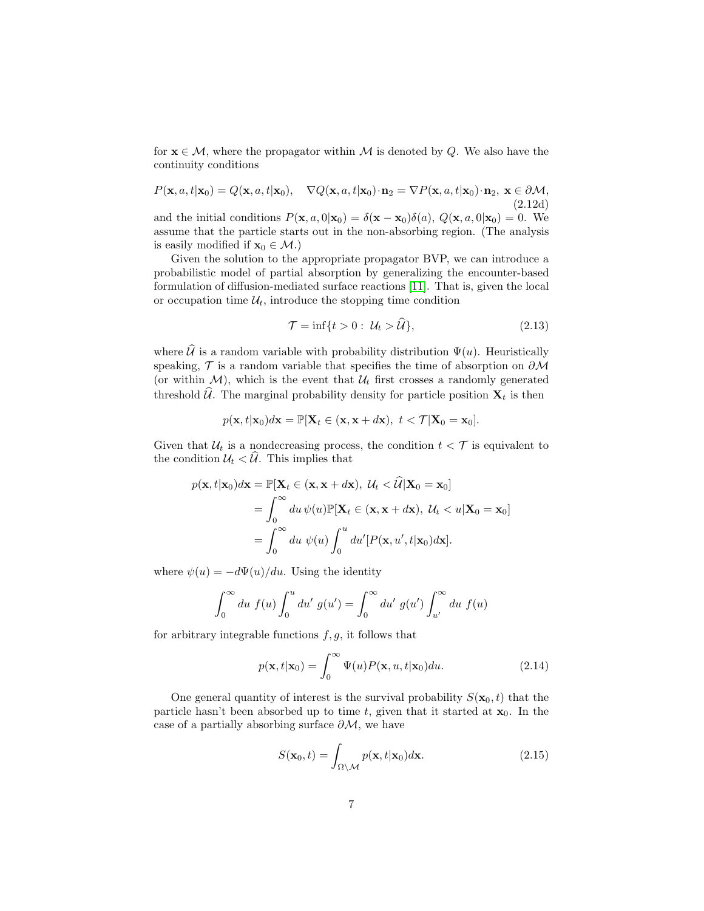for  $x \in M$ , where the propagator within M is denoted by Q. We also have the continuity conditions

$$
P(\mathbf{x}, a, t | \mathbf{x}_0) = Q(\mathbf{x}, a, t | \mathbf{x}_0), \quad \nabla Q(\mathbf{x}, a, t | \mathbf{x}_0) \cdot \mathbf{n}_2 = \nabla P(\mathbf{x}, a, t | \mathbf{x}_0) \cdot \mathbf{n}_2, \ \mathbf{x} \in \partial \mathcal{M},
$$
\n(2.12d)

and the initial conditions  $P(\mathbf{x}, a, 0|\mathbf{x}_0) = \delta(\mathbf{x} - \mathbf{x}_0)\delta(a), Q(\mathbf{x}, a, 0|\mathbf{x}_0) = 0$ . We assume that the particle starts out in the non-absorbing region. (The analysis is easily modified if  $\mathbf{x}_0 \in \mathcal{M}$ .)

Given the solution to the appropriate propagator BVP, we can introduce a probabilistic model of partial absorption by generalizing the encounter-based formulation of diffusion-mediated surface reactions [\[11\]](#page-24-6). That is, given the local or occupation time  $\mathcal{U}_t$ , introduce the stopping time condition

<span id="page-6-0"></span>
$$
\mathcal{T} = \inf\{t > 0: \ \mathcal{U}_t > \hat{\mathcal{U}}\},\tag{2.13}
$$

where  $\hat{\mathcal{U}}$  is a random variable with probability distribution  $\Psi(u)$ . Heuristically speaking,  $\mathcal T$  is a random variable that specifies the time of absorption on  $\partial \mathcal M$ (or within  $\mathcal{M}$ ), which is the event that  $\mathcal{U}_t$  first crosses a randomly generated threshold  $\widehat{U}$ . The marginal probability density for particle position  $\mathbf{X}_t$  is then

$$
p(\mathbf{x},t|\mathbf{x}_0)d\mathbf{x} = \mathbb{P}[\mathbf{X}_t \in (\mathbf{x}, \mathbf{x} + d\mathbf{x}), \ t < \mathcal{T}|\mathbf{X}_0 = \mathbf{x}_0].
$$

Given that  $\mathcal{U}_t$  is a nondecreasing process, the condition  $t < \mathcal{T}$  is equivalent to the condition  $\mathcal{U}_t < \mathcal{U}$ . This implies that

$$
p(\mathbf{x}, t | \mathbf{x}_0) d\mathbf{x} = \mathbb{P}[\mathbf{X}_t \in (\mathbf{x}, \mathbf{x} + d\mathbf{x}), \ U_t < \widehat{\mathcal{U}} | \mathbf{X}_0 = \mathbf{x}_0]
$$
\n
$$
= \int_0^\infty du \, \psi(u) \mathbb{P}[\mathbf{X}_t \in (\mathbf{x}, \mathbf{x} + d\mathbf{x}), \ U_t < u | \mathbf{X}_0 = \mathbf{x}_0]
$$
\n
$$
= \int_0^\infty du \, \psi(u) \int_0^u du' [P(\mathbf{x}, u', t | \mathbf{x}_0) d\mathbf{x}].
$$

where  $\psi(u) = -d\Psi(u)/du$ . Using the identity

$$
\int_0^{\infty} du f(u) \int_0^u du' g(u') = \int_0^{\infty} du' g(u') \int_{u'}^{\infty} du f(u)
$$

for arbitrary integrable functions  $f, g$ , it follows that

$$
p(\mathbf{x}, t | \mathbf{x}_0) = \int_0^\infty \Psi(u) P(\mathbf{x}, u, t | \mathbf{x}_0) du.
$$
 (2.14)

One general quantity of interest is the survival probability  $S(\mathbf{x}_0, t)$  that the particle hasn't been absorbed up to time t, given that it started at  $x_0$ . In the case of a partially absorbing surface  $\partial M$ , we have

<span id="page-6-1"></span>
$$
S(\mathbf{x}_0, t) = \int_{\Omega \setminus \mathcal{M}} p(\mathbf{x}, t | \mathbf{x}_0) d\mathbf{x}.
$$
 (2.15)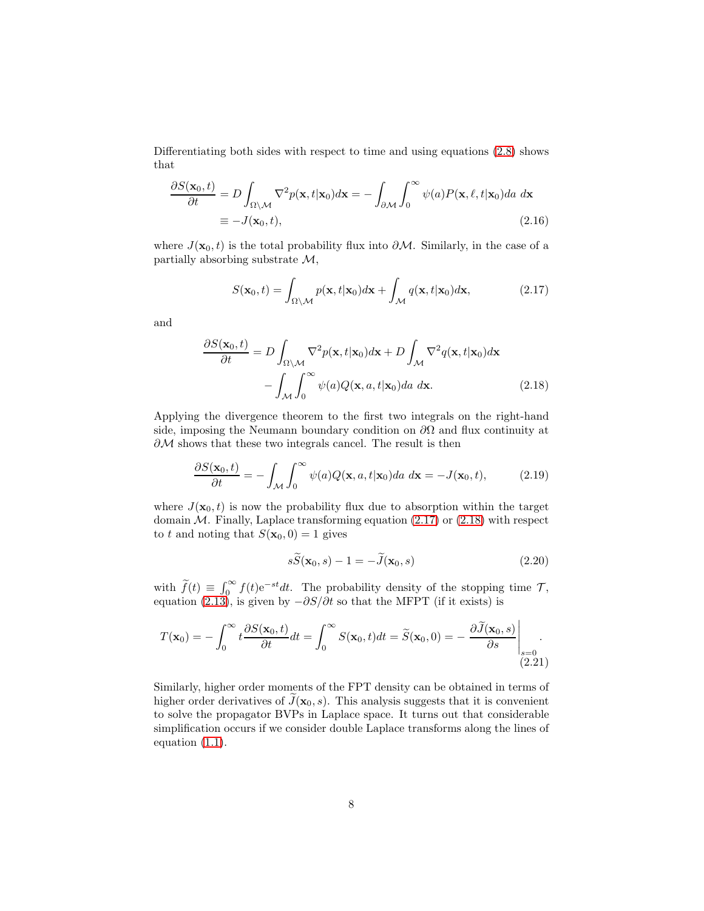Differentiating both sides with respect to time and using equations [\(2.8\)](#page-5-0) shows that

$$
\frac{\partial S(\mathbf{x}_0, t)}{\partial t} = D \int_{\Omega \setminus \mathcal{M}} \nabla^2 p(\mathbf{x}, t | \mathbf{x}_0) d\mathbf{x} = - \int_{\partial \mathcal{M}} \int_0^\infty \psi(a) P(\mathbf{x}, \ell, t | \mathbf{x}_0) da \ d\mathbf{x}
$$
  

$$
\equiv -J(\mathbf{x}_0, t),
$$
 (2.16)

where  $J(\mathbf{x}_0, t)$  is the total probability flux into  $\partial M$ . Similarly, in the case of a partially absorbing substrate  $\mathcal{M}$ ,

<span id="page-7-0"></span>
$$
S(\mathbf{x}_0, t) = \int_{\Omega \setminus \mathcal{M}} p(\mathbf{x}, t | \mathbf{x}_0) d\mathbf{x} + \int_{\mathcal{M}} q(\mathbf{x}, t | \mathbf{x}_0) d\mathbf{x},
$$
 (2.17)

and

$$
\frac{\partial S(\mathbf{x}_0, t)}{\partial t} = D \int_{\Omega \setminus \mathcal{M}} \nabla^2 p(\mathbf{x}, t | \mathbf{x}_0) d\mathbf{x} + D \int_{\mathcal{M}} \nabla^2 q(\mathbf{x}, t | \mathbf{x}_0) d\mathbf{x} - \int_{\mathcal{M}} \int_0^\infty \psi(a) Q(\mathbf{x}, a, t | \mathbf{x}_0) da \ d\mathbf{x}.
$$
 (2.18)

Applying the divergence theorem to the first two integrals on the right-hand side, imposing the Neumann boundary condition on  $\partial\Omega$  and flux continuity at  $\partial M$  shows that these two integrals cancel. The result is then

$$
\frac{\partial S(\mathbf{x}_0, t)}{\partial t} = -\int_{\mathcal{M}} \int_0^{\infty} \psi(a) Q(\mathbf{x}, a, t | \mathbf{x}_0) da \ d\mathbf{x} = -J(\mathbf{x}_0, t), \tag{2.19}
$$

where  $J(\mathbf{x}_0, t)$  is now the probability flux due to absorption within the target domain  $M$ . Finally, Laplace transforming equation [\(2.17\)](#page-7-0) or [\(2.18\)](#page-7-1) with respect to t and noting that  $S(\mathbf{x}_0, 0) = 1$  gives

<span id="page-7-2"></span><span id="page-7-1"></span>
$$
s\widetilde{S}(\mathbf{x}_0, s) - 1 = -\widetilde{J}(\mathbf{x}_0, s)
$$
\n(2.20)

with  $\widetilde{f}(t) \equiv \int_0^\infty f(t)e^{-st}dt$ . The probability density of the stopping time  $\mathcal{T}$ , equation [\(2.13\)](#page-6-0), is given by  $-\partial S/\partial t$  so that the MFPT (if it exists) is

$$
T(\mathbf{x}_0) = -\int_0^\infty t \frac{\partial S(\mathbf{x}_0, t)}{\partial t} dt = \int_0^\infty S(\mathbf{x}_0, t) dt = \widetilde{S}(\mathbf{x}_0, 0) = -\left. \frac{\partial \widetilde{J}(\mathbf{x}_0, s)}{\partial s} \right|_{s=0}
$$
\n(2.21)

Similarly, higher order moments of the FPT density can be obtained in terms of higher order derivatives of  $\tilde{J}(\mathbf{x}_0, s)$ . This analysis suggests that it is convenient to solve the propagator BVPs in Laplace space. It turns out that considerable simplification occurs if we consider double Laplace transforms along the lines of equation [\(1.1\)](#page-1-0).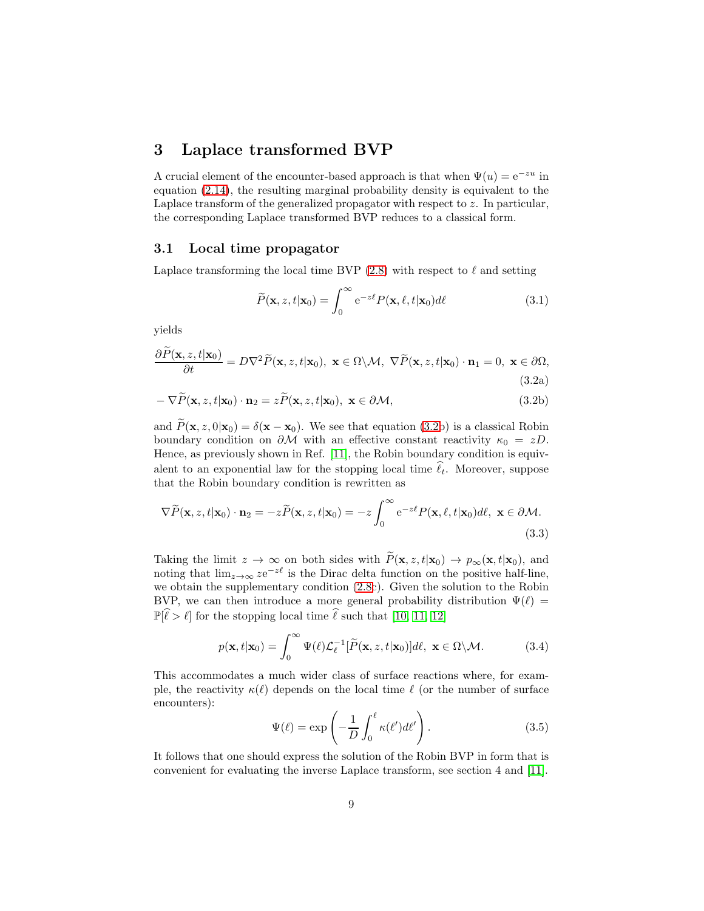### 3 Laplace transformed BVP

A crucial element of the encounter-based approach is that when  $\Psi(u) = e^{-zu}$  in equation [\(2.14\)](#page-6-1), the resulting marginal probability density is equivalent to the Laplace transform of the generalized propagator with respect to  $z$ . In particular, the corresponding Laplace transformed BVP reduces to a classical form.

#### 3.1 Local time propagator

Laplace transforming the local time BVP  $(2.8)$  with respect to  $\ell$  and setting

$$
\widetilde{P}(\mathbf{x}, z, t | \mathbf{x}_0) = \int_0^\infty e^{-z\ell} P(\mathbf{x}, \ell, t | \mathbf{x}_0) d\ell \tag{3.1}
$$

<span id="page-8-0"></span>yields

$$
\frac{\partial P(\mathbf{x}, z, t | \mathbf{x}_0)}{\partial t} = D \nabla^2 \widetilde{P}(\mathbf{x}, z, t | \mathbf{x}_0), \ \mathbf{x} \in \Omega \setminus \mathcal{M}, \ \nabla \widetilde{P}(\mathbf{x}, z, t | \mathbf{x}_0) \cdot \mathbf{n}_1 = 0, \ \mathbf{x} \in \partial \Omega,
$$
\n(3.2a)

$$
-\nabla \widetilde{P}(\mathbf{x}, z, t | \mathbf{x}_0) \cdot \mathbf{n}_2 = z \widetilde{P}(\mathbf{x}, z, t | \mathbf{x}_0), \ \mathbf{x} \in \partial \mathcal{M}, \tag{3.2b}
$$

and  $\widetilde{P}(\mathbf{x}, z, 0|\mathbf{x}_0) = \delta(\mathbf{x} - \mathbf{x}_0)$ . We see that equation [\(3.2b](#page-8-0)) is a classical Robin boundary condition on  $\partial M$  with an effective constant reactivity  $\kappa_0 = zD$ . Hence, as previously shown in Ref. [\[11\]](#page-24-6), the Robin boundary condition is equivalent to an exponential law for the stopping local time  $\hat{\ell}_t$ . Moreover, suppose that the Robin boundary condition is rewritten as

$$
\nabla \widetilde{P}(\mathbf{x}, z, t | \mathbf{x}_0) \cdot \mathbf{n}_2 = -z \widetilde{P}(\mathbf{x}, z, t | \mathbf{x}_0) = -z \int_0^\infty e^{-z\ell} P(\mathbf{x}, \ell, t | \mathbf{x}_0) d\ell, \ \mathbf{x} \in \partial \mathcal{M}.
$$
\n(3.3)

Taking the limit  $z \to \infty$  on both sides with  $\widetilde{P}(\mathbf{x}, z, t|\mathbf{x}_0) \to p_{\infty}(\mathbf{x}, t|\mathbf{x}_0)$ , and noting that  $\lim_{z\to\infty} ze^{-z\ell}$  is the Dirac delta function on the positive half-line, we obtain the supplementary condition [\(2.8c](#page-5-0)). Given the solution to the Robin BVP, we can then introduce a more general probability distribution  $\Psi(\ell)$  =  $\mathbb{P}[\hat{\ell} > \ell]$  for the stopping local time  $\hat{\ell}$  such that [\[10,](#page-24-5) [11,](#page-24-6) [12\]](#page-24-7)

<span id="page-8-1"></span>
$$
p(\mathbf{x}, t | \mathbf{x}_0) = \int_0^\infty \Psi(\ell) \mathcal{L}_{\ell}^{-1} [\widetilde{P}(\mathbf{x}, z, t | \mathbf{x}_0)] d\ell, \ \mathbf{x} \in \Omega \backslash \mathcal{M}.
$$
 (3.4)

This accommodates a much wider class of surface reactions where, for example, the reactivity  $\kappa(\ell)$  depends on the local time  $\ell$  (or the number of surface encounters):

$$
\Psi(\ell) = \exp\left(-\frac{1}{D} \int_0^{\ell} \kappa(\ell') d\ell'\right).
$$
\n(3.5)

It follows that one should express the solution of the Robin BVP in form that is convenient for evaluating the inverse Laplace transform, see section 4 and [\[11\]](#page-24-6).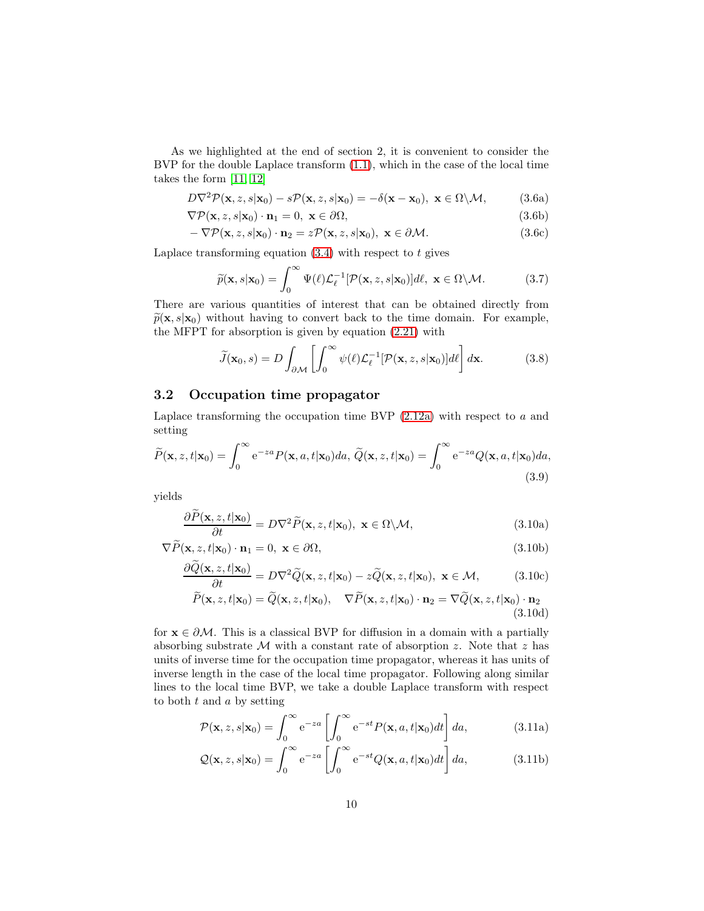As we highlighted at the end of section 2, it is convenient to consider the BVP for the double Laplace transform [\(1.1\)](#page-1-0), which in the case of the local time takes the form [\[11,](#page-24-6) [12\]](#page-24-7)

<span id="page-9-1"></span>
$$
D\nabla^2 \mathcal{P}(\mathbf{x}, z, s|\mathbf{x}_0) - s\mathcal{P}(\mathbf{x}, z, s|\mathbf{x}_0) = -\delta(\mathbf{x} - \mathbf{x}_0), \ \mathbf{x} \in \Omega \setminus \mathcal{M}, \tag{3.6a}
$$

 $\nabla \mathcal{P}(\mathbf{x}, z, s | \mathbf{x}_0) \cdot \mathbf{n}_1 = 0, \ \mathbf{x} \in \partial \Omega,$ (3.6b)

$$
-\nabla \mathcal{P}(\mathbf{x}, z, s | \mathbf{x}_0) \cdot \mathbf{n}_2 = z \mathcal{P}(\mathbf{x}, z, s | \mathbf{x}_0), \ \mathbf{x} \in \partial \mathcal{M}.
$$
 (3.6c)

Laplace transforming equation  $(3.4)$  with respect to t gives

$$
\widetilde{p}(\mathbf{x}, s | \mathbf{x}_0) = \int_0^\infty \Psi(\ell) \mathcal{L}_{\ell}^{-1} [\mathcal{P}(\mathbf{x}, z, s | \mathbf{x}_0)] d\ell, \ \mathbf{x} \in \Omega \backslash \mathcal{M}.
$$
 (3.7)

There are various quantities of interest that can be obtained directly from  $\widetilde{p}(\mathbf{x}, s|\mathbf{x}_0)$  without having to convert back to the time domain. For example, the MFPT for absorption is given by equation [\(2.21\)](#page-7-2) with

$$
\widetilde{J}(\mathbf{x}_0, s) = D \int_{\partial \mathcal{M}} \left[ \int_0^\infty \psi(\ell) \mathcal{L}_{\ell}^{-1} [\mathcal{P}(\mathbf{x}, z, s | \mathbf{x}_0)] d\ell \right] d\mathbf{x}.
$$
 (3.8)

### 3.2 Occupation time propagator

Laplace transforming the occupation time BVP  $(2.12a)$  with respect to a and setting

$$
\widetilde{P}(\mathbf{x}, z, t | \mathbf{x}_0) = \int_0^\infty e^{-za} P(\mathbf{x}, a, t | \mathbf{x}_0) da, \, \widetilde{Q}(\mathbf{x}, z, t | \mathbf{x}_0) = \int_0^\infty e^{-za} Q(\mathbf{x}, a, t | \mathbf{x}_0) da,
$$
\n(3.9)

yields

<span id="page-9-0"></span>
$$
\frac{\partial \widetilde{P}(\mathbf{x}, z, t | \mathbf{x}_0)}{\partial t} = D \nabla^2 \widetilde{P}(\mathbf{x}, z, t | \mathbf{x}_0), \ \mathbf{x} \in \Omega \backslash \mathcal{M}, \tag{3.10a}
$$

$$
\nabla \widetilde{P}(\mathbf{x}, z, t | \mathbf{x}_0) \cdot \mathbf{n}_1 = 0, \ \mathbf{x} \in \partial \Omega,
$$
\n(3.10b)

$$
\frac{\partial \tilde{Q}(\mathbf{x}, z, t | \mathbf{x}_0)}{\partial t} = D \nabla^2 \tilde{Q}(\mathbf{x}, z, t | \mathbf{x}_0) - z \tilde{Q}(\mathbf{x}, z, t | \mathbf{x}_0), \ \mathbf{x} \in \mathcal{M}, \tag{3.10c}
$$

$$
\widetilde{P}(\mathbf{x}, z, t | \mathbf{x}_0) = \widetilde{Q}(\mathbf{x}, z, t | \mathbf{x}_0), \quad \nabla \widetilde{P}(\mathbf{x}, z, t | \mathbf{x}_0) \cdot \mathbf{n}_2 = \nabla \widetilde{Q}(\mathbf{x}, z, t | \mathbf{x}_0) \cdot \mathbf{n}_2
$$
\n(3.10d)

for  $x \in \partial M$ . This is a classical BVP for diffusion in a domain with a partially absorbing substrate  $M$  with a constant rate of absorption z. Note that z has units of inverse time for the occupation time propagator, whereas it has units of inverse length in the case of the local time propagator. Following along similar lines to the local time BVP, we take a double Laplace transform with respect to both  $t$  and  $a$  by setting

$$
\mathcal{P}(\mathbf{x}, z, s | \mathbf{x}_0) = \int_0^\infty e^{-z a} \left[ \int_0^\infty e^{-st} P(\mathbf{x}, a, t | \mathbf{x}_0) dt \right] da,\tag{3.11a}
$$

$$
Q(\mathbf{x}, z, s | \mathbf{x}_0) = \int_0^\infty e^{-z a} \left[ \int_0^\infty e^{-st} Q(\mathbf{x}, a, t | \mathbf{x}_0) dt \right] da,\tag{3.11b}
$$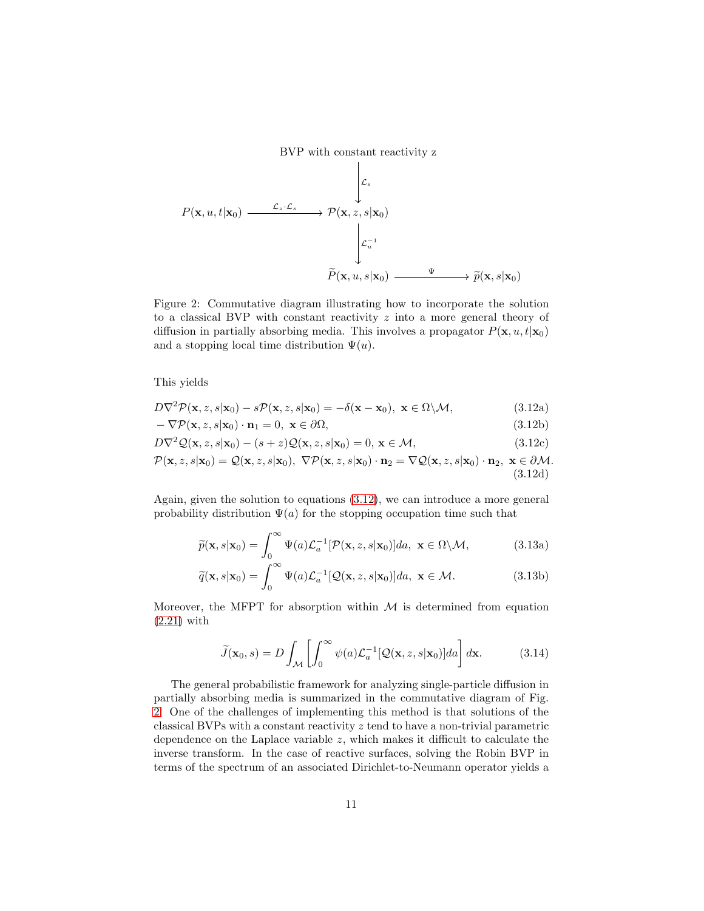BVP with constant reactivity z

$$
P(\mathbf{x}, u, t | \mathbf{x}_0) \xrightarrow{\mathcal{L}_z \cdot \mathcal{L}_s} \mathcal{P}(\mathbf{x}, z, s | \mathbf{x}_0)
$$
\n
$$
\downarrow \mathcal{L}_u^{-1}
$$
\n
$$
\widetilde{P}(\mathbf{x}, u, s | \mathbf{x}_0) \xrightarrow{\Psi} \widetilde{p}(\mathbf{x}, s | \mathbf{x}_0)
$$

<span id="page-10-1"></span>Figure 2: Commutative diagram illustrating how to incorporate the solution to a classical BVP with constant reactivity  $z$  into a more general theory of diffusion in partially absorbing media. This involves a propagator  $P(\mathbf{x}, u, t | \mathbf{x}_0)$ and a stopping local time distribution  $\Psi(u)$ .

<span id="page-10-0"></span>This yields

$$
D\nabla^2 \mathcal{P}(\mathbf{x}, z, s|\mathbf{x}_0) - s\mathcal{P}(\mathbf{x}, z, s|\mathbf{x}_0) = -\delta(\mathbf{x} - \mathbf{x}_0), \ \mathbf{x} \in \Omega \setminus \mathcal{M}, \tag{3.12a}
$$

$$
-\nabla \mathcal{P}(\mathbf{x}, z, s | \mathbf{x}_0) \cdot \mathbf{n}_1 = 0, \ \mathbf{x} \in \partial \Omega,
$$
\n(3.12b)

$$
D\nabla^2 \mathcal{Q}(\mathbf{x}, z, s|\mathbf{x}_0) - (s+z)\mathcal{Q}(\mathbf{x}, z, s|\mathbf{x}_0) = 0, \mathbf{x} \in \mathcal{M},
$$
\n(3.12c)

$$
\mathcal{P}(\mathbf{x}, z, s | \mathbf{x}_0) = \mathcal{Q}(\mathbf{x}, z, s | \mathbf{x}_0), \ \nabla \mathcal{P}(\mathbf{x}, z, s | \mathbf{x}_0) \cdot \mathbf{n}_2 = \nabla \mathcal{Q}(\mathbf{x}, z, s | \mathbf{x}_0) \cdot \mathbf{n}_2, \ \mathbf{x} \in \partial \mathcal{M}.
$$
\n(3.12d)

Again, given the solution to equations [\(3.12\)](#page-10-0), we can introduce a more general probability distribution  $\Psi(a)$  for the stopping occupation time such that

$$
\widetilde{p}(\mathbf{x}, s | \mathbf{x}_0) = \int_0^\infty \Psi(a) \mathcal{L}_a^{-1} [\mathcal{P}(\mathbf{x}, z, s | \mathbf{x}_0)] da, \ \mathbf{x} \in \Omega \backslash \mathcal{M}, \tag{3.13a}
$$

$$
\widetilde{q}(\mathbf{x}, s|\mathbf{x}_0) = \int_0^\infty \Psi(a) \mathcal{L}_a^{-1}[\mathcal{Q}(\mathbf{x}, z, s|\mathbf{x}_0)] da, \ \mathbf{x} \in \mathcal{M}.
$$
 (3.13b)

Moreover, the MFPT for absorption within  $M$  is determined from equation [\(2.21\)](#page-7-2) with

$$
\widetilde{J}(\mathbf{x}_0, s) = D \int_{\mathcal{M}} \left[ \int_0^\infty \psi(a) \mathcal{L}_a^{-1} [\mathcal{Q}(\mathbf{x}, z, s | \mathbf{x}_0)] da \right] d\mathbf{x}.
$$
 (3.14)

The general probabilistic framework for analyzing single-particle diffusion in partially absorbing media is summarized in the commutative diagram of Fig. [2.](#page-10-1) One of the challenges of implementing this method is that solutions of the classical BVPs with a constant reactivity z tend to have a non-trivial parametric dependence on the Laplace variable z, which makes it difficult to calculate the inverse transform. In the case of reactive surfaces, solving the Robin BVP in terms of the spectrum of an associated Dirichlet-to-Neumann operator yields a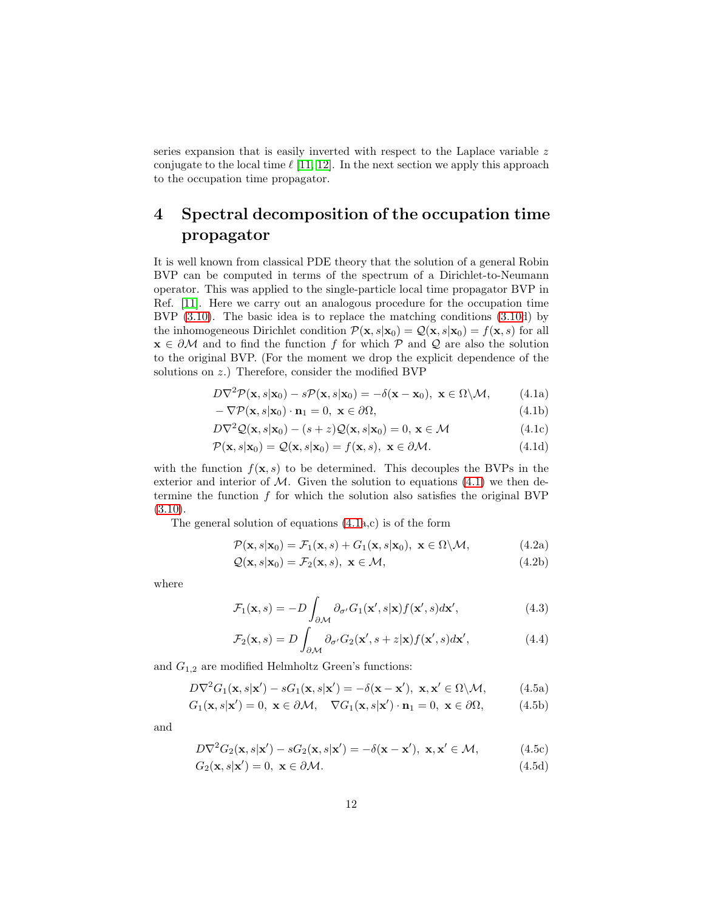series expansion that is easily inverted with respect to the Laplace variable z conjugate to the local time  $\ell$  [\[11,](#page-24-6) [12\]](#page-24-7). In the next section we apply this approach to the occupation time propagator.

## 4 Spectral decomposition of the occupation time propagator

It is well known from classical PDE theory that the solution of a general Robin BVP can be computed in terms of the spectrum of a Dirichlet-to-Neumann operator. This was applied to the single-particle local time propagator BVP in Ref. [\[11\]](#page-24-6). Here we carry out an analogous procedure for the occupation time BVP [\(3.10\)](#page-9-0). The basic idea is to replace the matching conditions [\(3.10d](#page-9-0)) by the inhomogeneous Dirichlet condition  $\mathcal{P}(\mathbf{x}, s|\mathbf{x}_0) = \mathcal{Q}(\mathbf{x}, s|\mathbf{x}_0) = f(\mathbf{x}, s)$  for all  $\mathbf{x} \in \partial \mathcal{M}$  and to find the function f for which P and Q are also the solution to the original BVP. (For the moment we drop the explicit dependence of the solutions on z.) Therefore, consider the modified BVP

<span id="page-11-0"></span>
$$
D\nabla^2 \mathcal{P}(\mathbf{x}, s|\mathbf{x}_0) - s\mathcal{P}(\mathbf{x}, s|\mathbf{x}_0) = -\delta(\mathbf{x} - \mathbf{x}_0), \ \mathbf{x} \in \Omega \setminus \mathcal{M}, \tag{4.1a}
$$

$$
-\nabla \mathcal{P}(\mathbf{x}, s|\mathbf{x}_0) \cdot \mathbf{n}_1 = 0, \ \mathbf{x} \in \partial \Omega,
$$
\n(4.1b)

$$
D\nabla^2 \mathcal{Q}(\mathbf{x}, s|\mathbf{x}_0) - (s+z)\mathcal{Q}(\mathbf{x}, s|\mathbf{x}_0) = 0, \mathbf{x} \in \mathcal{M}
$$
\n(4.1c)

$$
\mathcal{P}(\mathbf{x}, s|\mathbf{x}_0) = \mathcal{Q}(\mathbf{x}, s|\mathbf{x}_0) = f(\mathbf{x}, s), \ \mathbf{x} \in \partial \mathcal{M}.
$$
 (4.1d)

with the function  $f(\mathbf{x}, s)$  to be determined. This decouples the BVPs in the exterior and interior of  $M$ . Given the solution to equations [\(4.1\)](#page-11-0) we then determine the function  $f$  for which the solution also satisfies the original BVP  $(3.10).$  $(3.10).$ 

The general solution of equations [\(4.1a](#page-11-0),c) is of the form

<span id="page-11-1"></span>
$$
\mathcal{P}(\mathbf{x}, s|\mathbf{x}_0) = \mathcal{F}_1(\mathbf{x}, s) + G_1(\mathbf{x}, s|\mathbf{x}_0), \ \mathbf{x} \in \Omega \setminus \mathcal{M}, \tag{4.2a}
$$

$$
Q(\mathbf{x}, s|\mathbf{x}_0) = \mathcal{F}_2(\mathbf{x}, s), \ \mathbf{x} \in \mathcal{M}, \tag{4.2b}
$$

where

$$
\mathcal{F}_1(\mathbf{x}, s) = -D \int_{\partial \mathcal{M}} \partial_{\sigma'} G_1(\mathbf{x}', s | \mathbf{x}) f(\mathbf{x}', s) d\mathbf{x}',\tag{4.3}
$$

$$
\mathcal{F}_2(\mathbf{x}, s) = D \int_{\partial \mathcal{M}} \partial_{\sigma'} G_2(\mathbf{x}', s + z | \mathbf{x}) f(\mathbf{x}', s) d\mathbf{x}',\tag{4.4}
$$

and  $G_{1,2}$  are modified Helmholtz Green's functions:

$$
D\nabla^2 G_1(\mathbf{x}, s|\mathbf{x}') - sG_1(\mathbf{x}, s|\mathbf{x}') = -\delta(\mathbf{x} - \mathbf{x}'), \ \mathbf{x}, \mathbf{x}' \in \Omega \setminus \mathcal{M}, \tag{4.5a}
$$

$$
G_1(\mathbf{x}, s|\mathbf{x}') = 0, \ \mathbf{x} \in \partial \mathcal{M}, \quad \nabla G_1(\mathbf{x}, s|\mathbf{x}') \cdot \mathbf{n}_1 = 0, \ \mathbf{x} \in \partial \Omega,\tag{4.5b}
$$

and

$$
D\nabla^2 G_2(\mathbf{x}, s|\mathbf{x}') - sG_2(\mathbf{x}, s|\mathbf{x}') = -\delta(\mathbf{x} - \mathbf{x}'), \ \mathbf{x}, \mathbf{x}' \in \mathcal{M},\tag{4.5c}
$$

$$
G_2(\mathbf{x}, s|\mathbf{x}') = 0, \ \mathbf{x} \in \partial \mathcal{M}.\tag{4.5d}
$$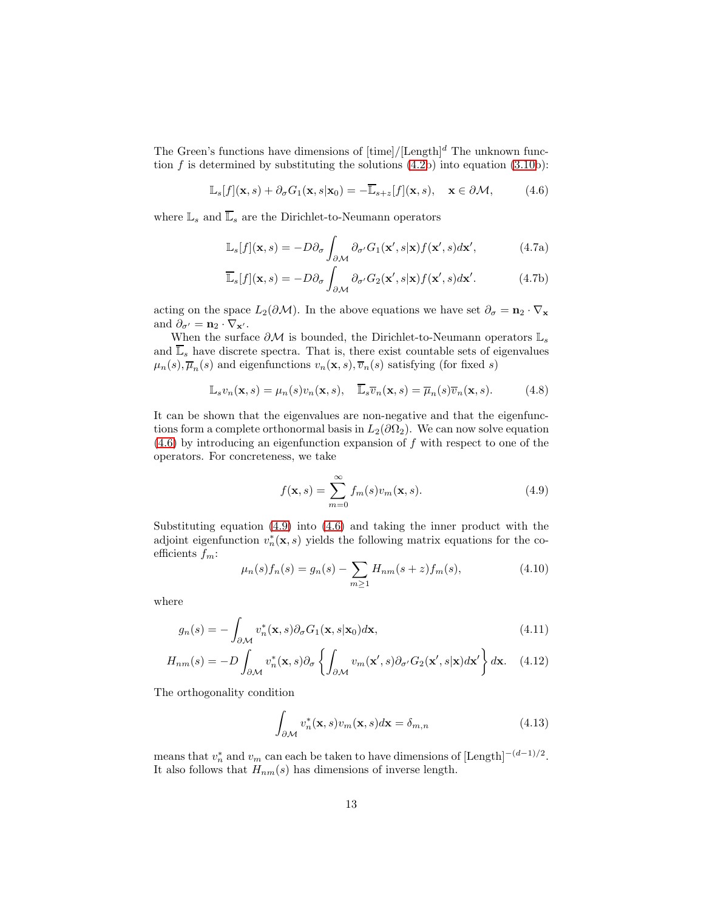The Green's functions have dimensions of  $[\text{time}]/[\text{Length}]^d$  The unknown function  $f$  is determined by substituting the solutions  $(4.2b)$  into equation  $(3.10b)$ :

$$
\mathbb{L}_s[f](\mathbf{x},s) + \partial_{\sigma} G_1(\mathbf{x},s|\mathbf{x}_0) = -\overline{\mathbb{L}}_{s+z}[f](\mathbf{x},s), \quad \mathbf{x} \in \partial \mathcal{M}, \tag{4.6}
$$

where  $\mathbb{L}_s$  and  $\overline{\mathbb{L}}_s$  are the Dirichlet-to-Neumann operators

<span id="page-12-3"></span><span id="page-12-0"></span>
$$
\mathbb{L}_s[f](\mathbf{x},s) = -D\partial_\sigma \int_{\partial \mathcal{M}} \partial_{\sigma'} G_1(\mathbf{x}',s|\mathbf{x}) f(\mathbf{x}',s) d\mathbf{x}',\tag{4.7a}
$$

$$
\overline{\mathbb{L}}_s[f](\mathbf{x},s) = -D\partial_\sigma \int_{\partial \mathcal{M}} \partial_{\sigma'} G_2(\mathbf{x}',s|\mathbf{x}) f(\mathbf{x}',s) d\mathbf{x}'. \tag{4.7b}
$$

acting on the space  $L_2(\partial \mathcal{M})$ . In the above equations we have set  $\partial_{\sigma} = \mathbf{n}_2 \cdot \nabla_{\mathbf{x}}$ and  $\partial_{\sigma'} = \mathbf{n}_2 \cdot \nabla_{\mathbf{x'}}$ .

When the surface  $\partial M$  is bounded, the Dirichlet-to-Neumann operators  $\mathbb{L}_s$ and  $\overline{\mathbb{L}}_s$  have discrete spectra. That is, there exist countable sets of eigenvalues  $\mu_n(s), \overline{\mu}_n(s)$  and eigenfunctions  $v_n(\mathbf{x}, s), \overline{v}_n(s)$  satisfying (for fixed s)

$$
\mathbb{L}_s v_n(\mathbf{x}, s) = \mu_n(s) v_n(\mathbf{x}, s), \quad \overline{\mathbb{L}}_s \overline{v}_n(\mathbf{x}, s) = \overline{\mu}_n(s) \overline{v}_n(\mathbf{x}, s).
$$
 (4.8)

It can be shown that the eigenvalues are non-negative and that the eigenfunctions form a complete orthonormal basis in  $L_2(\partial\Omega_2)$ . We can now solve equation  $(4.6)$  by introducing an eigenfunction expansion of f with respect to one of the operators. For concreteness, we take

<span id="page-12-1"></span>
$$
f(\mathbf{x}, s) = \sum_{m=0}^{\infty} f_m(s) v_m(\mathbf{x}, s).
$$
 (4.9)

Substituting equation [\(4.9\)](#page-12-1) into [\(4.6\)](#page-12-0) and taking the inner product with the adjoint eigenfunction  $v_n^*(\mathbf{x}, s)$  yields the following matrix equations for the coefficients  $f_m$ :

<span id="page-12-2"></span>
$$
\mu_n(s)f_n(s) = g_n(s) - \sum_{m \ge 1} H_{nm}(s+z)f_m(s),\tag{4.10}
$$

where

$$
g_n(s) = -\int_{\partial \mathcal{M}} v_n^*(\mathbf{x}, s) \partial_\sigma G_1(\mathbf{x}, s | \mathbf{x}_0) d\mathbf{x},\tag{4.11}
$$

$$
H_{nm}(s) = -D \int_{\partial \mathcal{M}} v_n^*(\mathbf{x}, s) \partial_\sigma \left\{ \int_{\partial \mathcal{M}} v_m(\mathbf{x}', s) \partial_{\sigma'} G_2(\mathbf{x}', s | \mathbf{x}) d\mathbf{x}' \right\} d\mathbf{x}.
$$
 (4.12)

The orthogonality condition

<span id="page-12-4"></span>
$$
\int_{\partial \mathcal{M}} v_n^*(\mathbf{x}, s) v_m(\mathbf{x}, s) d\mathbf{x} = \delta_{m,n}
$$
\n(4.13)

means that  $v_n^*$  and  $v_m$  can each be taken to have dimensions of  $\text{[Length]}^{-(d-1)/2}$ . It also follows that  $H_{nm}(s)$  has dimensions of inverse length.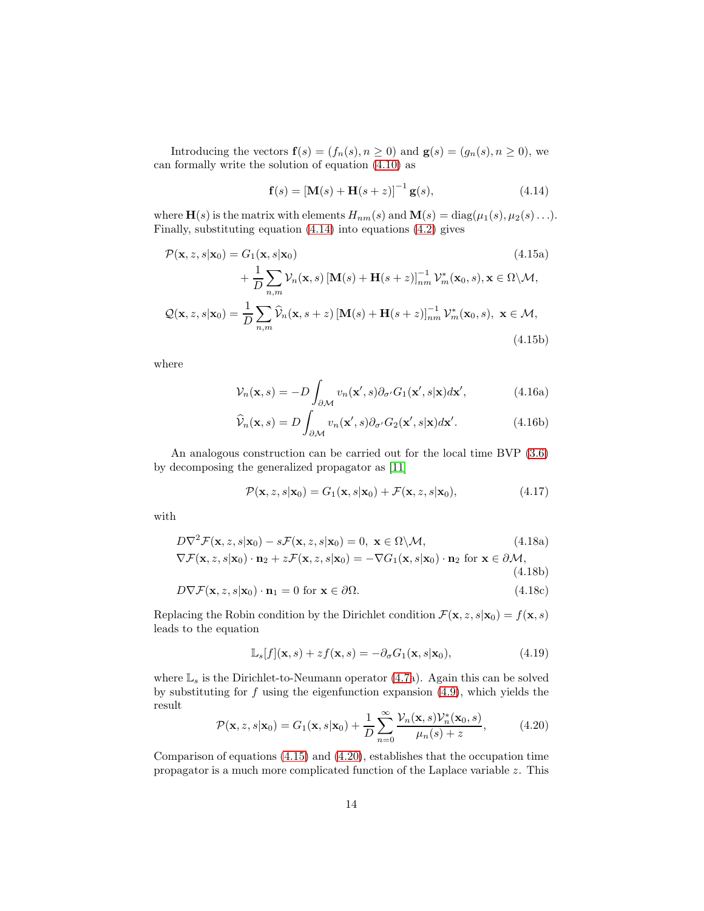Introducing the vectors  $f(s) = (f_n(s), n \ge 0)$  and  $g(s) = (g_n(s), n \ge 0)$ , we can formally write the solution of equation [\(4.10\)](#page-12-2) as

<span id="page-13-1"></span><span id="page-13-0"></span>
$$
\mathbf{f}(s) = [\mathbf{M}(s) + \mathbf{H}(s+z)]^{-1} \mathbf{g}(s),
$$
 (4.14)

where  $\mathbf{H}(s)$  is the matrix with elements  $H_{nm}(s)$  and  $\mathbf{M}(s) = \text{diag}(\mu_1(s), \mu_2(s) \ldots).$ Finally, substituting equation [\(4.14\)](#page-13-0) into equations [\(4.2\)](#page-11-1) gives

$$
\mathcal{P}(\mathbf{x}, z, s | \mathbf{x}_0) = G_1(\mathbf{x}, s | \mathbf{x}_0)
$$
\n
$$
+ \frac{1}{D} \sum_{n,m} \mathcal{V}_n(\mathbf{x}, s) \left[ \mathbf{M}(s) + \mathbf{H}(s+z) \right]_{nm}^{-1} \mathcal{V}_m^*(\mathbf{x}_0, s), \mathbf{x} \in \Omega \backslash \mathcal{M},
$$
\n
$$
\mathcal{Q}(\mathbf{x}, z, s | \mathbf{x}_0) = \frac{1}{D} \sum_{n,m} \widehat{\mathcal{V}}_n(\mathbf{x}, s + z) \left[ \mathbf{M}(s) + \mathbf{H}(s + z) \right]_{nm}^{-1} \mathcal{V}_m^*(\mathbf{x}_0, s), \mathbf{x} \in \mathcal{M},
$$
\n(4.15b)

<span id="page-13-3"></span>where

$$
\mathcal{V}_n(\mathbf{x}, s) = -D \int_{\partial \mathcal{M}} v_n(\mathbf{x}', s) \partial_{\sigma'} G_1(\mathbf{x}', s | \mathbf{x}) d\mathbf{x}', \qquad (4.16a)
$$

$$
\widehat{\mathcal{V}}_n(\mathbf{x},s) = D \int_{\partial \mathcal{M}} v_n(\mathbf{x}',s) \partial_{\sigma'} G_2(\mathbf{x}',s|\mathbf{x}) d\mathbf{x}'. \tag{4.16b}
$$

An analogous construction can be carried out for the local time BVP [\(3.6\)](#page-9-1) by decomposing the generalized propagator as [\[11\]](#page-24-6)

$$
\mathcal{P}(\mathbf{x}, z, s | \mathbf{x}_0) = G_1(\mathbf{x}, s | \mathbf{x}_0) + \mathcal{F}(\mathbf{x}, z, s | \mathbf{x}_0), \tag{4.17}
$$

with

$$
D\nabla^2 \mathcal{F}(\mathbf{x}, z, s | \mathbf{x}_0) - s\mathcal{F}(\mathbf{x}, z, s | \mathbf{x}_0) = 0, \ \mathbf{x} \in \Omega \setminus \mathcal{M},
$$
(4.18a)  

$$
\nabla \mathcal{F}(\mathbf{x}, z, s | \mathbf{x}_0) \cdot \mathbf{n}_2 + z\mathcal{F}(\mathbf{x}, z, s | \mathbf{x}_0) = -\nabla G_1(\mathbf{x}, s | \mathbf{x}_0) \cdot \mathbf{n}_2 \text{ for } \mathbf{x} \in \partial \mathcal{M},
$$
(4.18b)  

$$
D\nabla \mathcal{F}(\mathbf{x}, z, s | \mathbf{x}_0) \cdot \mathbf{n}_1 = 0 \text{ for } \mathbf{x} \in \partial \Omega.
$$
(4.18c)

Replacing the Robin condition by the Dirichlet condition  $\mathcal{F}(\mathbf{x}, z, s|\mathbf{x}_0) = f(\mathbf{x}, s)$ leads to the equation

$$
\mathbb{L}_s[f](\mathbf{x},s) + zf(\mathbf{x},s) = -\partial_\sigma G_1(\mathbf{x},s|\mathbf{x}_0),\tag{4.19}
$$

where  $\mathbb{L}_s$  is the Dirichlet-to-Neumann operator [\(4.7a](#page-12-3)). Again this can be solved by substituting for  $f$  using the eigenfunction expansion  $(4.9)$ , which yields the result

<span id="page-13-2"></span>
$$
\mathcal{P}(\mathbf{x}, z, s | \mathbf{x}_0) = G_1(\mathbf{x}, s | \mathbf{x}_0) + \frac{1}{D} \sum_{n=0}^{\infty} \frac{\mathcal{V}_n(\mathbf{x}, s) \mathcal{V}_n^*(\mathbf{x}_0, s)}{\mu_n(s) + z},
$$
(4.20)

Comparison of equations [\(4.15\)](#page-13-1) and [\(4.20\)](#page-13-2), establishes that the occupation time propagator is a much more complicated function of the Laplace variable z. This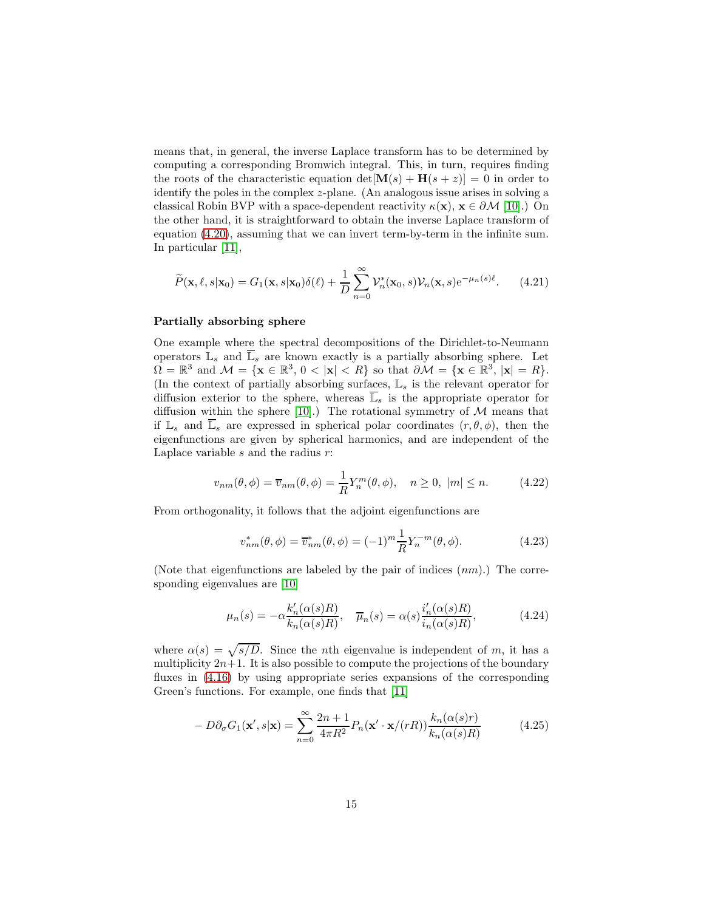means that, in general, the inverse Laplace transform has to be determined by computing a corresponding Bromwich integral. This, in turn, requires finding the roots of the characteristic equation  $det[\mathbf{M}(s) + \mathbf{H}(s + z)] = 0$  in order to identify the poles in the complex z-plane. (An analogous issue arises in solving a classical Robin BVP with a space-dependent reactivity  $\kappa(\mathbf{x})$ ,  $\mathbf{x} \in \partial \mathcal{M}$  [\[10\]](#page-24-5).) On the other hand, it is straightforward to obtain the inverse Laplace transform of equation [\(4.20\)](#page-13-2), assuming that we can invert term-by-term in the infinite sum. In particular [\[11\]](#page-24-6),

$$
\widetilde{P}(\mathbf{x}, \ell, s | \mathbf{x}_0) = G_1(\mathbf{x}, s | \mathbf{x}_0) \delta(\ell) + \frac{1}{D} \sum_{n=0}^{\infty} \mathcal{V}_n^*(\mathbf{x}_0, s) \mathcal{V}_n(\mathbf{x}, s) e^{-\mu_n(s)\ell}.
$$
 (4.21)

#### Partially absorbing sphere

One example where the spectral decompositions of the Dirichlet-to-Neumann operators  $\mathbb{L}_s$  and  $\overline{\mathbb{L}}_s$  are known exactly is a partially absorbing sphere. Let  $\Omega = \mathbb{R}^3$  and  $\mathcal{M} = {\mathbf{x} \in \mathbb{R}^3, 0 < |\mathbf{x}| < R}$  so that  $\partial \mathcal{M} = {\mathbf{x} \in \mathbb{R}^3, |\mathbf{x}| = R}}$ . (In the context of partially absorbing surfaces,  $\mathbb{L}_s$  is the relevant operator for diffusion exterior to the sphere, whereas  $\overline{\mathbb{L}}_s$  is the appropriate operator for diffusion within the sphere [\[10\]](#page-24-5).) The rotational symmetry of  $M$  means that if  $\mathbb{L}_s$  and  $\overline{\mathbb{L}}_s$  are expressed in spherical polar coordinates  $(r, \theta, \phi)$ , then the eigenfunctions are given by spherical harmonics, and are independent of the Laplace variable  $s$  and the radius  $r$ :

$$
v_{nm}(\theta,\phi) = \overline{v}_{nm}(\theta,\phi) = \frac{1}{R} Y_n^m(\theta,\phi), \quad n \ge 0, \ |m| \le n. \tag{4.22}
$$

From orthogonality, it follows that the adjoint eigenfunctions are

$$
v_{nm}^*(\theta, \phi) = \overline{v}_{nm}^*(\theta, \phi) = (-1)^m \frac{1}{R} Y_n^{-m}(\theta, \phi).
$$
 (4.23)

(Note that eigenfunctions are labeled by the pair of indices  $(nm)$ .) The corresponding eigenvalues are [\[10\]](#page-24-5)

$$
\mu_n(s) = -\alpha \frac{k'_n(\alpha(s)R)}{k_n(\alpha(s)R)}, \quad \overline{\mu}_n(s) = \alpha(s) \frac{i'_n(\alpha(s)R)}{i_n(\alpha(s)R)},
$$
\n(4.24)

where  $\alpha(s) = \sqrt{s/D}$ . Since the *n*th eigenvalue is independent of m, it has a multiplicity  $2n+1$ . It is also possible to compute the projections of the boundary fluxes in  $(4.16)$  by using appropriate series expansions of the corresponding Green's functions. For example, one finds that [\[11\]](#page-24-6)

$$
-D\partial_{\sigma}G_1(\mathbf{x}',s|\mathbf{x}) = \sum_{n=0}^{\infty} \frac{2n+1}{4\pi R^2} P_n(\mathbf{x}' \cdot \mathbf{x}/(rR)) \frac{k_n(\alpha(s)r)}{k_n(\alpha(s)R)}
$$
(4.25)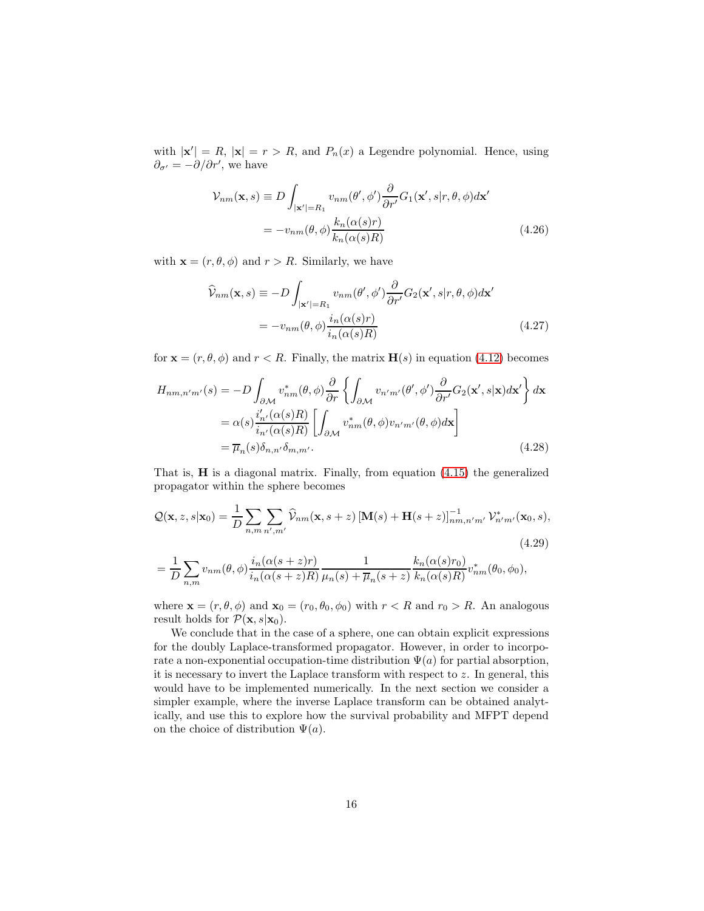with  $|\mathbf{x}'| = R$ ,  $|\mathbf{x}| = r > R$ , and  $P_n(x)$  a Legendre polynomial. Hence, using  $\partial_{\sigma'} = -\partial/\partial r'$ , we have

$$
\mathcal{V}_{nm}(\mathbf{x}, s) \equiv D \int_{|\mathbf{x}'|=R_1} v_{nm}(\theta', \phi') \frac{\partial}{\partial r'} G_1(\mathbf{x}', s | r, \theta, \phi) d\mathbf{x}'
$$

$$
= -v_{nm}(\theta, \phi) \frac{k_n(\alpha(s)r)}{k_n(\alpha(s)R)} \tag{4.26}
$$

with  $\mathbf{x} = (r, \theta, \phi)$  and  $r > R$ . Similarly, we have

$$
\widehat{\mathcal{V}}_{nm}(\mathbf{x}, s) \equiv -D \int_{|\mathbf{x}'|=R_1} v_{nm}(\theta', \phi') \frac{\partial}{\partial r'} G_2(\mathbf{x}', s | r, \theta, \phi) d\mathbf{x}'\n= -v_{nm}(\theta, \phi) \frac{i_n(\alpha(s)r)}{i_n(\alpha(s)R)}\n \tag{4.27}
$$

for  $\mathbf{x} = (r, \theta, \phi)$  and  $r < R$ . Finally, the matrix  $\mathbf{H}(s)$  in equation [\(4.12\)](#page-12-4) becomes

$$
H_{nm,n'm'}(s) = -D \int_{\partial \mathcal{M}} v_{nm}^*(\theta, \phi) \frac{\partial}{\partial r} \left\{ \int_{\partial \mathcal{M}} v_{n'm'}(\theta', \phi') \frac{\partial}{\partial r'} G_2(\mathbf{x}', s | \mathbf{x}) d\mathbf{x}' \right\} d\mathbf{x}
$$
  

$$
= \alpha(s) \frac{i'_{n'}(\alpha(s)R)}{i_{n'}(\alpha(s)R)} \left[ \int_{\partial \mathcal{M}} v_{nm}^*(\theta, \phi) v_{n'm'}(\theta, \phi) d\mathbf{x} \right]
$$
  

$$
= \overline{\mu}_n(s) \delta_{n,n'} \delta_{m,m'}.
$$
 (4.28)

That is, H is a diagonal matrix. Finally, from equation [\(4.15\)](#page-13-1) the generalized propagator within the sphere becomes

$$
\mathcal{Q}(\mathbf{x}, z, s | \mathbf{x}_0) = \frac{1}{D} \sum_{n,m} \sum_{n',m'} \widehat{\mathcal{V}}_{nm}(\mathbf{x}, s+z) \left[ \mathbf{M}(s) + \mathbf{H}(s+z) \right]_{nm,n'm'}^{-1} \mathcal{V}_{n'm'}^*(\mathbf{x}_0, s),
$$
\n(4.29)

$$
= \frac{1}{D} \sum_{n,m} v_{nm}(\theta,\phi) \frac{i_n(\alpha(s+z)r)}{i_n(\alpha(s+z)R)} \frac{1}{\mu_n(s) + \overline{\mu}_n(s+z)} \frac{k_n(\alpha(s)r_0)}{k_n(\alpha(s)R)} v_{nm}^*(\theta_0,\phi_0),
$$

where  $\mathbf{x} = (r, \theta, \phi)$  and  $\mathbf{x}_0 = (r_0, \theta_0, \phi_0)$  with  $r < R$  and  $r_0 > R$ . An analogous result holds for  $\mathcal{P}(\mathbf{x}, s|\mathbf{x}_0)$ .

We conclude that in the case of a sphere, one can obtain explicit expressions for the doubly Laplace-transformed propagator. However, in order to incorporate a non-exponential occupation-time distribution  $\Psi(a)$  for partial absorption, it is necessary to invert the Laplace transform with respect to  $z$ . In general, this would have to be implemented numerically. In the next section we consider a simpler example, where the inverse Laplace transform can be obtained analytically, and use this to explore how the survival probability and MFPT depend on the choice of distribution  $\Psi(a)$ .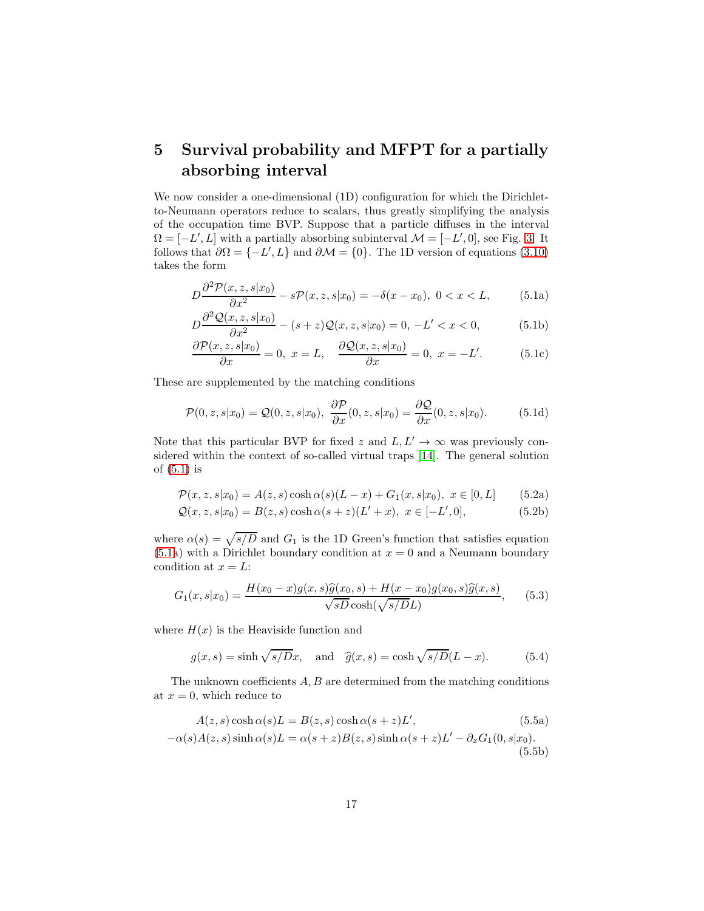# 5 Survival probability and MFPT for a partially absorbing interval

We now consider a one-dimensional  $(1D)$  configuration for which the Dirichletto-Neumann operators reduce to scalars, thus greatly simplifying the analysis of the occupation time BVP. Suppose that a particle diffuses in the interval  $\Omega = [-L', L]$  with a partially absorbing subinterval  $\mathcal{M} = [-L', 0]$ , see Fig. [3.](#page-17-0) It follows that  $\partial\Omega = \{-L', L\}$  and  $\partial\mathcal{M} = \{0\}$ . The 1D version of equations [\(3.10\)](#page-9-0) takes the form

<span id="page-16-0"></span>
$$
D\frac{\partial^2 \mathcal{P}(x, z, s|x_0)}{\partial x^2} - s\mathcal{P}(x, z, s|x_0) = -\delta(x - x_0), \ 0 < x < L,\tag{5.1a}
$$

$$
D\frac{\partial^2 \mathcal{Q}(x, z, s|x_0)}{\partial x^2} - (s+z)\mathcal{Q}(x, z, s|x_0) = 0, -L' < x < 0,\tag{5.1b}
$$

$$
\frac{\partial \mathcal{P}(x, z, s|x_0)}{\partial x} = 0, \ x = L, \quad \frac{\partial \mathcal{Q}(x, z, s|x_0)}{\partial x} = 0, \ x = -L'. \tag{5.1c}
$$

These are supplemented by the matching conditions

$$
\mathcal{P}(0, z, s|x_0) = \mathcal{Q}(0, z, s|x_0), \ \frac{\partial \mathcal{P}}{\partial x}(0, z, s|x_0) = \frac{\partial \mathcal{Q}}{\partial x}(0, z, s|x_0). \tag{5.1d}
$$

Note that this particular BVP for fixed z and  $L, L' \rightarrow \infty$  was previously considered within the context of so-called virtual traps [\[14\]](#page-24-9). The general solution of [\(5.1\)](#page-16-0) is

$$
\mathcal{P}(x, z, s | x_0) = A(z, s) \cosh \alpha(s) (L - x) + G_1(x, s | x_0), \ x \in [0, L] \tag{5.2a}
$$

$$
Q(x, z, s|x_0) = B(z, s) \cosh \alpha (s + z)(L' + x), \ x \in [-L', 0], \tag{5.2b}
$$

where  $\alpha(s) = \sqrt{s/D}$  and  $G_1$  is the 1D Green's function that satisfies equation  $(5.1a)$  $(5.1a)$  with a Dirichlet boundary condition at  $x = 0$  and a Neumann boundary condition at  $x = L$ :

$$
G_1(x, s|x_0) = \frac{H(x_0 - x)g(x, s)\hat{g}(x_0, s) + H(x - x_0)g(x_0, s)\hat{g}(x, s)}{\sqrt{sD}\cosh(\sqrt{s/D}L)},
$$
(5.3)

where  $H(x)$  is the Heaviside function and

<span id="page-16-1"></span>
$$
g(x, s) = \sinh \sqrt{s/Dx}
$$
, and  $\hat{g}(x, s) = \cosh \sqrt{s/D}(L - x)$ . (5.4)

The unknown coefficients  $A, B$  are determined from the matching conditions at  $x = 0$ , which reduce to

$$
A(z, s) \cosh \alpha(s) L = B(z, s) \cosh \alpha(s + z) L',
$$
\n
$$
-\alpha(s) A(z, s) \sinh \alpha(s) L = \alpha(s + z) B(z, s) \sinh \alpha(s + z) L' - \partial_x G_1(0, s | x_0).
$$
\n(5.5b)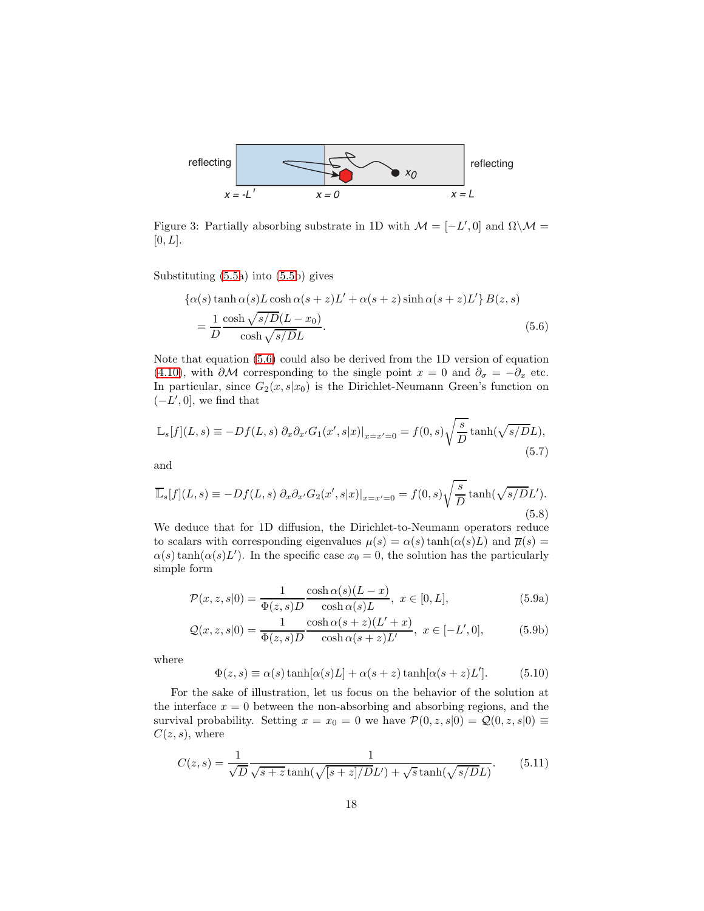

<span id="page-17-0"></span>Figure 3: Partially absorbing substrate in 1D with  $\mathcal{M} = [-L', 0]$  and  $\Omega \backslash \mathcal{M} =$  $[0, L].$ 

Substituting [\(5.5a](#page-16-1)) into [\(5.5b](#page-16-1)) gives

<span id="page-17-1"></span>
$$
\{\alpha(s)\tanh\alpha(s)L\cosh\alpha(s+z)L'+\alpha(s+z)\sinh\alpha(s+z)L'\}B(z,s)
$$
  
= 
$$
\frac{1}{D}\frac{\cosh\sqrt{s/D}(L-x_0)}{\cosh\sqrt{s/D}L}.
$$
 (5.6)

Note that equation [\(5.6\)](#page-17-1) could also be derived from the 1D version of equation [\(4.10\)](#page-12-2), with  $\partial M$  corresponding to the single point  $x = 0$  and  $\partial_{\sigma} = -\partial_x$  etc. In particular, since  $G_2(x, s|x_0)$  is the Dirichlet-Neumann Green's function on  $(-L', 0]$ , we find that

$$
\mathbb{L}_s[f](L,s) \equiv -Df(L,s) \partial_x \partial_{x'} G_1(x',s|x)|_{x=x'=0} = f(0,s) \sqrt{\frac{s}{D}} \tanh(\sqrt{s/D}L),\tag{5.7}
$$

and

$$
\overline{\mathbb{L}}_s[f](L,s) \equiv -Df(L,s) \partial_x \partial_{x'} G_2(x',s|x)|_{x=x'=0} = f(0,s) \sqrt{\frac{s}{D}} \tanh(\sqrt{s/D}L').
$$
\n(5.8)

We deduce that for 1D diffusion, the Dirichlet-to-Neumann operators reduce to scalars with corresponding eigenvalues  $\mu(s) = \alpha(s) \tanh(\alpha(s)L)$  and  $\overline{\mu}(s) =$  $\alpha(s)$  tanh $(\alpha(s)L')$ . In the specific case  $x_0 = 0$ , the solution has the particularly simple form

<span id="page-17-2"></span>
$$
\mathcal{P}(x, z, s|0) = \frac{1}{\Phi(z, s)D} \frac{\cosh \alpha(s)(L-x)}{\cosh \alpha(s)L}, \ x \in [0, L],
$$
\n(5.9a)

$$
\mathcal{Q}(x,z,s|0) = \frac{1}{\Phi(z,s)D} \frac{\cosh \alpha(s+z)(L'+x)}{\cosh \alpha(s+z)L'}, \ x \in [-L',0],\tag{5.9b}
$$

where

$$
\Phi(z,s) \equiv \alpha(s) \tanh[\alpha(s)L] + \alpha(s+z) \tanh[\alpha(s+z)L'].
$$
 (5.10)

For the sake of illustration, let us focus on the behavior of the solution at the interface  $x = 0$  between the non-absorbing and absorbing regions, and the survival probability. Setting  $x = x_0 = 0$  we have  $\mathcal{P}(0, z, s|0) = \mathcal{Q}(0, z, s|0) \equiv$  $C(z, s)$ , where

$$
C(z,s) = \frac{1}{\sqrt{D}} \frac{1}{\sqrt{s+z} \tanh(\sqrt{[s+z]/D}L') + \sqrt{s} \tanh(\sqrt{s/D}L)}.
$$
 (5.11)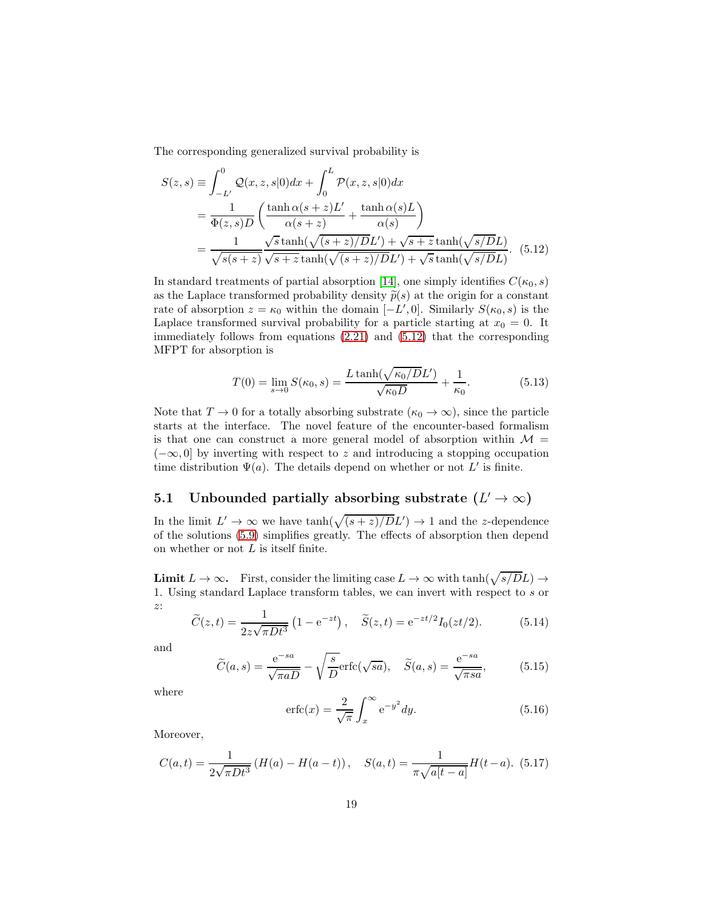The corresponding generalized survival probability is

$$
S(z,s) \equiv \int_{-L'}^{0} Q(x,z,s|0)dx + \int_{0}^{L} \mathcal{P}(x,z,s|0)dx
$$
  
= 
$$
\frac{1}{\Phi(z,s)D} \left( \frac{\tanh \alpha(s+z)L'}{\alpha(s+z)} + \frac{\tanh \alpha(s)L}{\alpha(s)} \right)
$$
  
= 
$$
\frac{1}{\sqrt{s(s+z)}} \frac{\sqrt{s \tanh(\sqrt{(s+z)/D}L') + \sqrt{s+z} \tanh(\sqrt{s/D}L)}}{\sqrt{s+z} \tanh(\sqrt{(s+z)/D}L') + \sqrt{s} \tanh(\sqrt{s/D}L)}.
$$
 (5.12)

In standard treatments of partial absorption [\[14\]](#page-24-9), one simply identifies  $C(\kappa_0, s)$ as the Laplace transformed probability density  $\tilde{p}(s)$  at the origin for a constant rate of absorption  $z = \kappa_0$  within the domain  $[-L', 0]$ . Similarly  $S(\kappa_0, s)$  is the Laplace transformed survival probability for a particle starting at  $x_0 = 0$ . It immediately follows from equations [\(2.21\)](#page-7-2) and [\(5.12\)](#page-18-0) that the corresponding MFPT for absorption is

<span id="page-18-0"></span>
$$
T(0) = \lim_{s \to 0} S(\kappa_0, s) = \frac{L \tanh(\sqrt{\kappa_0/D}L')}{\sqrt{\kappa_0 D}} + \frac{1}{\kappa_0}.
$$
 (5.13)

Note that  $T \to 0$  for a totally absorbing substrate  $(\kappa_0 \to \infty)$ , since the particle starts at the interface. The novel feature of the encounter-based formalism is that one can construct a more general model of absorption within  $\mathcal{M} =$  $(-\infty, 0]$  by inverting with respect to z and introducing a stopping occupation time distribution  $\Psi(a)$ . The details depend on whether or not L' is finite.

# 5.1 Unbounded partially absorbing substrate  $(L' \to \infty)$

In the limit  $L' \to \infty$  we have  $\tanh(\sqrt{(s+z)/D}L') \to 1$  and the z-dependence of the solutions [\(5.9\)](#page-17-2) simplifies greatly. The effects of absorption then depend on whether or not  $L$  is itself finite.

**Limit**  $L \to \infty$ . First, consider the limiting case  $L \to \infty$  with  $tanh(\sqrt{s/D}L) \to$ 1. Using standard Laplace transform tables, we can invert with respect to s or z:

$$
\widetilde{C}(z,t) = \frac{1}{2z\sqrt{\pi Dt^3}} \left(1 - e^{-zt}\right), \quad \widetilde{S}(z,t) = e^{-zt/2} I_0(zt/2). \tag{5.14}
$$

and

$$
\widetilde{C}(a,s) = \frac{e^{-sa}}{\sqrt{\pi a D}} - \sqrt{\frac{s}{D}} \text{erfc}(\sqrt{sa}), \quad \widetilde{S}(a,s) = \frac{e^{-sa}}{\sqrt{\pi sa}},\tag{5.15}
$$

where

$$
\operatorname{erfc}(x) = \frac{2}{\sqrt{\pi}} \int_x^{\infty} e^{-y^2} dy.
$$
 (5.16)

Moreover,

$$
C(a,t) = \frac{1}{2\sqrt{\pi Dt^3}} \left( H(a) - H(a-t) \right), \quad S(a,t) = \frac{1}{\pi\sqrt{a[t-a]}} H(t-a). \tag{5.17}
$$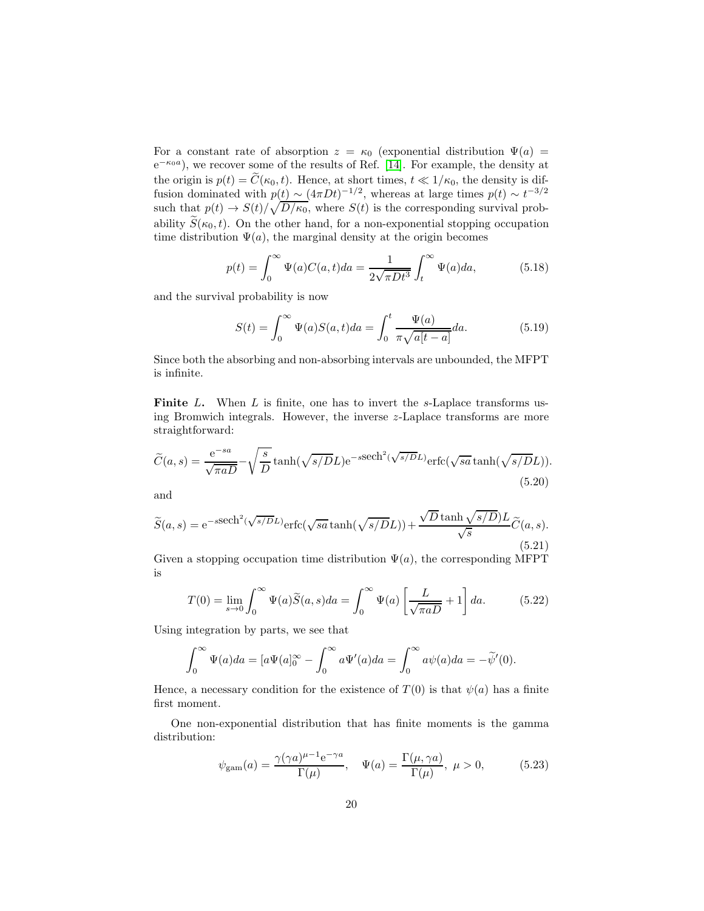For a constant rate of absorption  $z = \kappa_0$  (exponential distribution  $\Psi(a) =$  $e^{-\kappa_0 a}$ , we recover some of the results of Ref. [\[14\]](#page-24-9). For example, the density at the origin is  $p(t) = \widetilde{C}(\kappa_0, t)$ . Hence, at short times,  $t \ll 1/\kappa_0$ , the density is diffusion dominated with  $p(t) \sim (4\pi Dt)^{-1/2}$ , whereas at large times  $p(t) \sim t^{-3/2}$ . such that  $p(t) \to S(t)/\sqrt{D/\kappa_0}$ , where  $S(t)$  is the corresponding survival probability  $\widetilde{S}(\kappa_0,t)$ . On the other hand, for a non-exponential stopping occupation time distribution  $\Psi(a)$ , the marginal density at the origin becomes

$$
p(t) = \int_0^\infty \Psi(a)C(a,t)da = \frac{1}{2\sqrt{\pi Dt^3}} \int_t^\infty \Psi(a)da,\tag{5.18}
$$

and the survival probability is now

<span id="page-19-0"></span>
$$
S(t) = \int_0^\infty \Psi(a)S(a,t)da = \int_0^t \frac{\Psi(a)}{\pi\sqrt{a[t-a]}}da.
$$
 (5.19)

Since both the absorbing and non-absorbing intervals are unbounded, the MFPT is infinite.

**Finite** L. When L is finite, one has to invert the s-Laplace transforms using Bromwich integrals. However, the inverse z-Laplace transforms are more straightforward:

$$
\widetilde{C}(a,s) = \frac{e^{-sa}}{\sqrt{\pi a D}} - \sqrt{\frac{s}{D}} \tanh(\sqrt{s/D}L) e^{-s \text{sech}^2(\sqrt{s/D}L)} \text{erfc}(\sqrt{sa} \tanh(\sqrt{s/D}L)).
$$
\n(5.20)

and

$$
\widetilde{S}(a,s) = e^{-s \text{sech}^2(\sqrt{s/D}L)} \text{erfc}(\sqrt{sa} \tanh(\sqrt{s/D}L)) + \frac{\sqrt{D} \tanh(\sqrt{s/D})L}{\sqrt{s}} \widetilde{C}(a,s).
$$
\n(5.21)

Given a stopping occupation time distribution  $\Psi(a)$ , the corresponding MFPT is

$$
T(0) = \lim_{s \to 0} \int_0^\infty \Psi(a)\widetilde{S}(a,s)da = \int_0^\infty \Psi(a)\left[\frac{L}{\sqrt{\pi aD}} + 1\right]da.
$$
 (5.22)

Using integration by parts, we see that

$$
\int_0^\infty \Psi(a)da = [a\Psi(a)]_0^\infty - \int_0^\infty a\Psi'(a)da = \int_0^\infty a\psi(a)da = -\tilde{\psi}'(0).
$$

Hence, a necessary condition for the existence of  $T(0)$  is that  $\psi(a)$  has a finite first moment.

One non-exponential distribution that has finite moments is the gamma distribution:

$$
\psi_{\text{gam}}(a) = \frac{\gamma(\gamma a)^{\mu - 1} e^{-\gamma a}}{\Gamma(\mu)}, \quad \Psi(a) = \frac{\Gamma(\mu, \gamma a)}{\Gamma(\mu)}, \quad \mu > 0,
$$
\n(5.23)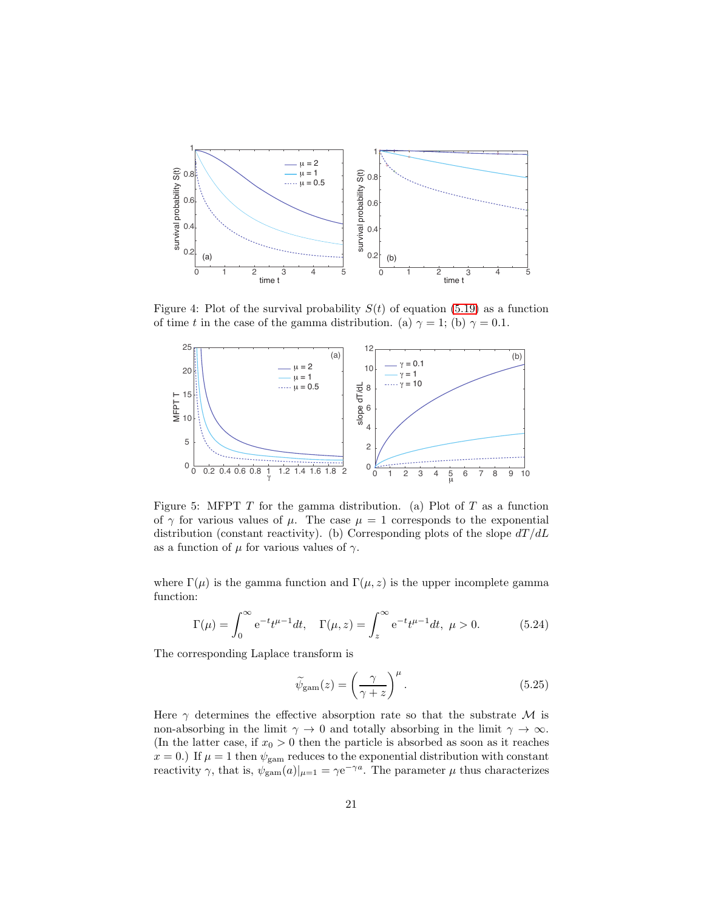

Figure 4: Plot of the survival probability  $S(t)$  of equation [\(5.19\)](#page-19-0) as a function of time t in the case of the gamma distribution. (a)  $\gamma = 1$ ; (b)  $\gamma = 0.1$ .

<span id="page-20-0"></span>

<span id="page-20-1"></span>Figure 5: MFPT  $T$  for the gamma distribution. (a) Plot of  $T$  as a function of  $\gamma$  for various values of  $\mu$ . The case  $\mu = 1$  corresponds to the exponential distribution (constant reactivity). (b) Corresponding plots of the slope  $dT/dL$ as a function of  $\mu$  for various values of  $\gamma$ .

where  $\Gamma(\mu)$  is the gamma function and  $\Gamma(\mu, z)$  is the upper incomplete gamma function:

$$
\Gamma(\mu) = \int_0^\infty e^{-t} t^{\mu-1} dt, \quad \Gamma(\mu, z) = \int_z^\infty e^{-t} t^{\mu-1} dt, \quad \mu > 0.
$$
 (5.24)

The corresponding Laplace transform is

$$
\widetilde{\psi}_{\text{gam}}(z) = \left(\frac{\gamma}{\gamma + z}\right)^{\mu}.\tag{5.25}
$$

Here  $\gamma$  determines the effective absorption rate so that the substrate M is non-absorbing in the limit  $\gamma \to 0$  and totally absorbing in the limit  $\gamma \to \infty$ . (In the latter case, if  $x_0 > 0$  then the particle is absorbed as soon as it reaches  $x = 0.$ ) If  $\mu = 1$  then  $\psi_{\text{gam}}$  reduces to the exponential distribution with constant reactivity  $\gamma$ , that is,  $\psi_{\text{gam}}(a)|_{\mu=1} = \gamma e^{-\gamma a}$ . The parameter  $\mu$  thus characterizes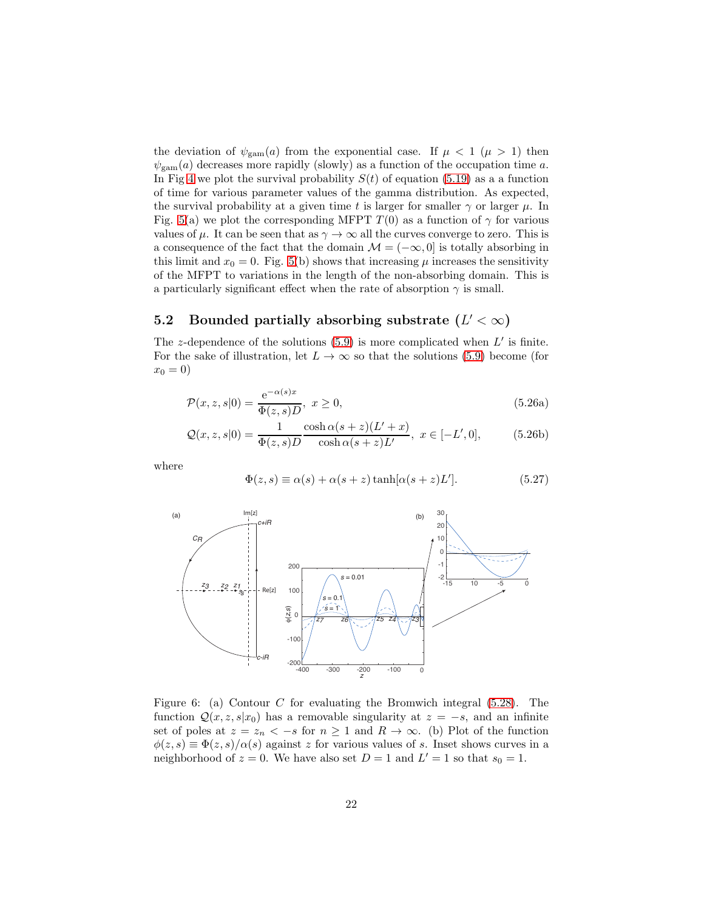the deviation of  $\psi_{\text{gam}}(a)$  from the exponential case. If  $\mu < 1$  ( $\mu > 1$ ) then  $\psi_{\text{gam}}(a)$  decreases more rapidly (slowly) as a function of the occupation time a. In Fig [4](#page-20-0) we plot the survival probability  $S(t)$  of equation [\(5.19\)](#page-19-0) as a a function of time for various parameter values of the gamma distribution. As expected, the survival probability at a given time t is larger for smaller  $\gamma$  or larger  $\mu$ . In Fig. [5\(](#page-20-1)a) we plot the corresponding MFPT  $T(0)$  as a function of  $\gamma$  for various values of  $\mu$ . It can be seen that as  $\gamma \to \infty$  all the curves converge to zero. This is a consequence of the fact that the domain  $\mathcal{M} = (-\infty, 0]$  is totally absorbing in this limit and  $x_0 = 0$ . Fig. [5\(](#page-20-1)b) shows that increasing  $\mu$  increases the sensitivity of the MFPT to variations in the length of the non-absorbing domain. This is a particularly significant effect when the rate of absorption  $\gamma$  is small.

# 5.2 Bounded partially absorbing substrate  $(L' < \infty)$

The z-dependence of the solutions  $(5.9)$  is more complicated when  $L'$  is finite. For the sake of illustration, let  $L \to \infty$  so that the solutions [\(5.9\)](#page-17-2) become (for  $x_0 = 0$ 

$$
\mathcal{P}(x,z,s|0) = \frac{\mathrm{e}^{-\alpha(s)x}}{\Phi(z,s)D}, \ x \ge 0,
$$
\n
$$
(5.26a)
$$

$$
Q(x, z, s|0) = \frac{1}{\Phi(z, s)D} \frac{\cosh \alpha (s + z)(L' + x)}{\cosh \alpha (s + z)L'}, \ x \in [-L', 0],
$$
 (5.26b)

where

<span id="page-21-1"></span>
$$
\Phi(z,s) \equiv \alpha(s) + \alpha(s+z) \tanh[\alpha(s+z)L'].
$$
\n(5.27)



<span id="page-21-0"></span>Figure 6: (a) Contour  $C$  for evaluating the Bromwich integral [\(5.28\)](#page-22-0). The function  $\mathcal{Q}(x, z, s|x_0)$  has a removable singularity at  $z = -s$ , and an infinite set of poles at  $z = z_n < -s$  for  $n \ge 1$  and  $R \to \infty$ . (b) Plot of the function  $\phi(z,s) \equiv \Phi(z,s)/\alpha(s)$  against z for various values of s. Inset shows curves in a neighborhood of  $z = 0$ . We have also set  $D = 1$  and  $L' = 1$  so that  $s_0 = 1$ .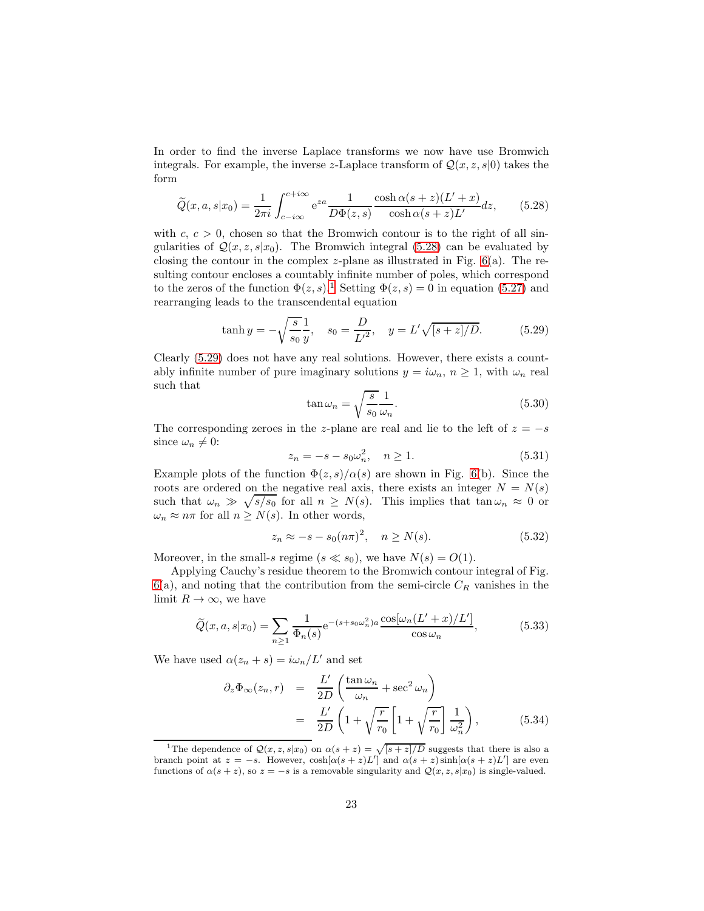In order to find the inverse Laplace transforms we now have use Bromwich integrals. For example, the inverse z-Laplace transform of  $\mathcal{Q}(x, z, s | 0)$  takes the form

<span id="page-22-0"></span>
$$
\widetilde{Q}(x, a, s|x_0) = \frac{1}{2\pi i} \int_{c-i\infty}^{c+i\infty} e^{za} \frac{1}{D\Phi(z, s)} \frac{\cosh \alpha (s+z)(L'+x)}{\cosh \alpha (s+z)L'} dz, \qquad (5.28)
$$

with  $c, c > 0$ , chosen so that the Bromwich contour is to the right of all singularities of  $\mathcal{Q}(x, z, s|x_0)$ . The Bromwich integral [\(5.28\)](#page-22-0) can be evaluated by closing the contour in the complex z-plane as illustrated in Fig.  $6(a)$ . The resulting contour encloses a countably infinite number of poles, which correspond to the zeros of the function  $\Phi(z, s)$ .<sup>[1](#page-22-1)</sup> Setting  $\Phi(z, s) = 0$  in equation [\(5.27\)](#page-21-1) and rearranging leads to the transcendental equation

<span id="page-22-2"></span>
$$
\tanh y = -\sqrt{\frac{s}{s_0}} \frac{1}{y}, \quad s_0 = \frac{D}{L^2}, \quad y = L'\sqrt{[s+z]/D}.
$$
 (5.29)

Clearly [\(5.29\)](#page-22-2) does not have any real solutions. However, there exists a countably infinite number of pure imaginary solutions  $y = i\omega_n$ ,  $n \ge 1$ , with  $\omega_n$  real such that

$$
\tan \omega_n = \sqrt{\frac{s}{s_0}} \frac{1}{\omega_n}.
$$
\n(5.30)

The corresponding zeroes in the z-plane are real and lie to the left of  $z = -s$ since  $\omega_n \neq 0$ :

$$
z_n = -s - s_0 \omega_n^2, \quad n \ge 1.
$$
 (5.31)

Example plots of the function  $\Phi(z, s)/\alpha(s)$  are shown in Fig. [6\(](#page-21-0)b). Since the roots are ordered on the negative real axis, there exists an integer  $N = N(s)$ such that  $\omega_n \gg \sqrt{s/s_0}$  for all  $n \geq N(s)$ . This implies that  $\tan \omega_n \approx 0$  or  $\omega_n \approx n\pi$  for all  $n \geq N(s)$ . In other words,

$$
z_n \approx -s - s_0 (n\pi)^2, \quad n \ge N(s). \tag{5.32}
$$

Moreover, in the small-s regime  $(s \ll s_0)$ , we have  $N(s) = O(1)$ .

Applying Cauchy's residue theorem to the Bromwich contour integral of Fig.  $6(a)$  $6(a)$ , and noting that the contribution from the semi-circle  $C_R$  vanishes in the limit  $R \to \infty$ , we have

<span id="page-22-3"></span>
$$
\widetilde{Q}(x,a,s|x_0) = \sum_{n\geq 1} \frac{1}{\Phi_n(s)} e^{-(s+s_0\omega_n^2)a} \frac{\cos[\omega_n(L'+x)/L']}{\cos\omega_n},\tag{5.33}
$$

We have used  $\alpha(z_n + s) = i\omega_n/L'$  and set

$$
\partial_z \Phi_\infty(z_n, r) = \frac{L'}{2D} \left( \frac{\tan \omega_n}{\omega_n} + \sec^2 \omega_n \right)
$$
  
= 
$$
\frac{L'}{2D} \left( 1 + \sqrt{\frac{r}{r_0}} \left[ 1 + \sqrt{\frac{r}{r_0}} \right] \frac{1}{\omega_n^2} \right),
$$
 (5.34)

<span id="page-22-1"></span><sup>&</sup>lt;sup>1</sup>The dependence of  $\mathcal{Q}(x, z, s|x_0)$  on  $\alpha(s + z) = \sqrt{[s + z]/D}$  suggests that there is also a branch point at  $z = -s$ . However,  $\cosh[\alpha(s + z)L']$  and  $\alpha(s + z)\sinh[\alpha(s + z)L']$  are even functions of  $\alpha(s + z)$ , so  $z = -s$  is a removable singularity and  $\mathcal{Q}(x, z, s|x_0)$  is single-valued.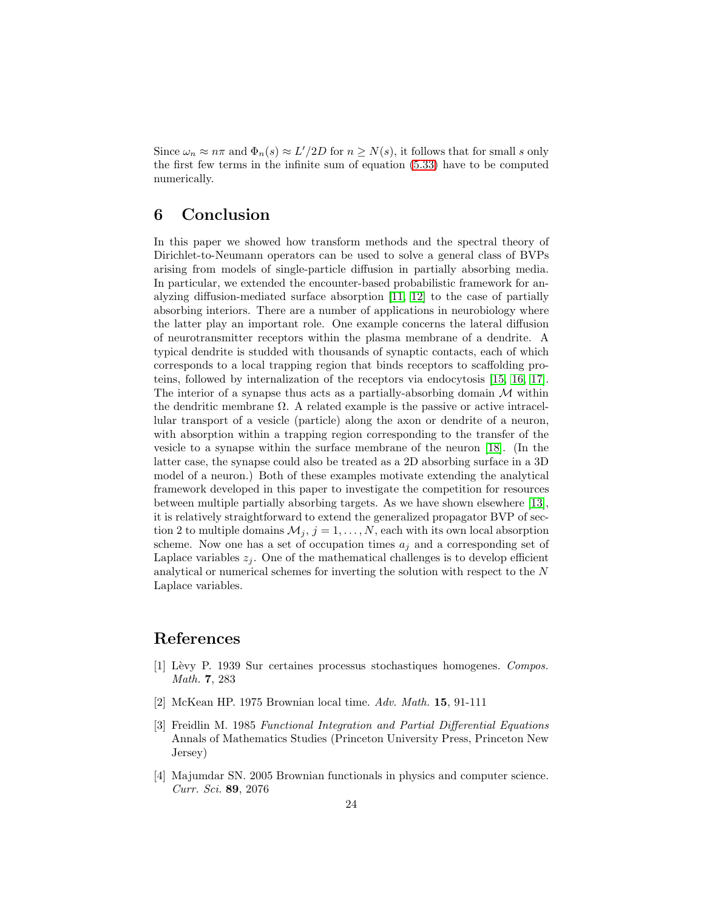Since  $\omega_n \approx n\pi$  and  $\Phi_n(s) \approx L'/2D$  for  $n \ge N(s)$ , it follows that for small s only the first few terms in the infinite sum of equation [\(5.33\)](#page-22-3) have to be computed numerically.

## 6 Conclusion

In this paper we showed how transform methods and the spectral theory of Dirichlet-to-Neumann operators can be used to solve a general class of BVPs arising from models of single-particle diffusion in partially absorbing media. In particular, we extended the encounter-based probabilistic framework for analyzing diffusion-mediated surface absorption [\[11,](#page-24-6) [12\]](#page-24-7) to the case of partially absorbing interiors. There are a number of applications in neurobiology where the latter play an important role. One example concerns the lateral diffusion of neurotransmitter receptors within the plasma membrane of a dendrite. A typical dendrite is studded with thousands of synaptic contacts, each of which corresponds to a local trapping region that binds receptors to scaffolding proteins, followed by internalization of the receptors via endocytosis [\[15,](#page-24-10) [16,](#page-24-11) [17\]](#page-24-12). The interior of a synapse thus acts as a partially-absorbing domain  $M$  within the dendritic membrane  $\Omega$ . A related example is the passive or active intracellular transport of a vesicle (particle) along the axon or dendrite of a neuron, with absorption within a trapping region corresponding to the transfer of the vesicle to a synapse within the surface membrane of the neuron [\[18\]](#page-24-13). (In the latter case, the synapse could also be treated as a 2D absorbing surface in a 3D model of a neuron.) Both of these examples motivate extending the analytical framework developed in this paper to investigate the competition for resources between multiple partially absorbing targets. As we have shown elsewhere [\[13\]](#page-24-8), it is relatively straightforward to extend the generalized propagator BVP of section 2 to multiple domains  $\mathcal{M}_j$ ,  $j = 1, \ldots, N$ , each with its own local absorption scheme. Now one has a set of occupation times  $a_j$  and a corresponding set of Laplace variables  $z_i$ . One of the mathematical challenges is to develop efficient analytical or numerical schemes for inverting the solution with respect to the  $N$ Laplace variables.

### <span id="page-23-0"></span>References

- [1] L`evy P. 1939 Sur certaines processus stochastiques homogenes. Compos. Math. 7, 283
- <span id="page-23-2"></span><span id="page-23-1"></span>[2] McKean HP. 1975 Brownian local time. Adv. Math. 15, 91-111
- [3] Freidlin M. 1985 Functional Integration and Partial Differential Equations Annals of Mathematics Studies (Princeton University Press, Princeton New Jersey)
- <span id="page-23-3"></span>[4] Majumdar SN. 2005 Brownian functionals in physics and computer science. Curr. Sci. 89, 2076